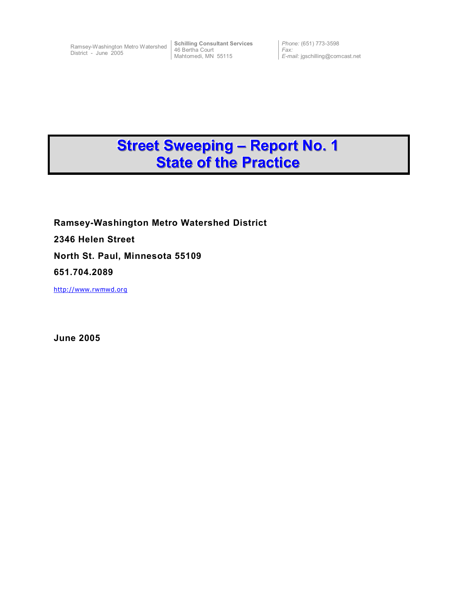District - June 2005

Ramsey-Washington Metro Watershed **Schilling Consultant Services** 46 Bertha Court Mahtomedi, MN 55115

*Phone:* (651) 773-3598 *Fax: E-mail:* jgschilling@comcast.net

# **Street Sweeping - Report No. 1 State of the Practice**

**Ramsey-Washington Metro Watershed District 2346 Helen Street North St. Paul, Minnesota 55109 651.704.2089**  http://www.rwmwd.org

**June 2005**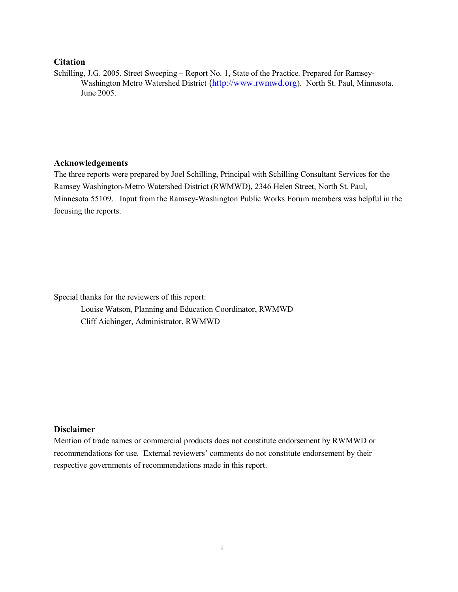#### **Citation**

Schilling, J.G. 2005. Street Sweeping – Report No. 1, State of the Practice. Prepared for Ramsey-Washington Metro Watershed District (http://www.rwmwd.org). North St. Paul, Minnesota. June 2005.

#### **Acknowledgements**

The three reports were prepared by Joel Schilling, Principal with Schilling Consultant Services for the Ramsey Washington-Metro Watershed District (RWMWD), 2346 Helen Street, North St. Paul, Minnesota 55109. Input from the Ramsey-Washington Public Works Forum members was helpful in the focusing the reports.

Special thanks for the reviewers of this report:

 Louise Watson, Planning and Education Coordinator, RWMWD Cliff Aichinger, Administrator, RWMWD

# **Disclaimer**

Mention of trade names or commercial products does not constitute endorsement by RWMWD or recommendations for use. External reviewers' comments do not constitute endorsement by their respective governments of recommendations made in this report.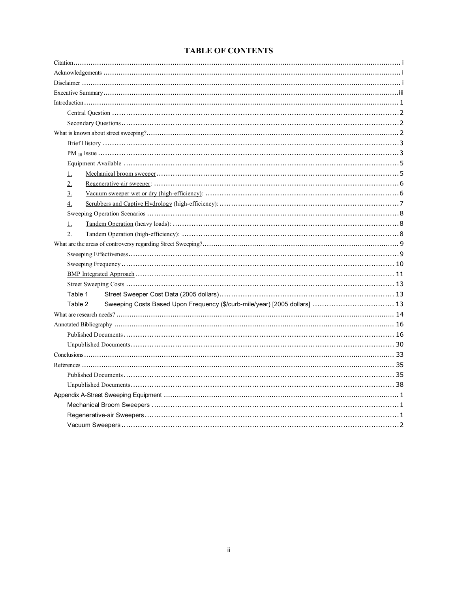# **TABLE OF CONTENTS**

| $\perp$          |         |  |                                                                            |  |  |
|------------------|---------|--|----------------------------------------------------------------------------|--|--|
| $2_{-}$          |         |  |                                                                            |  |  |
| $\overline{3}$ . |         |  |                                                                            |  |  |
| 4.               |         |  |                                                                            |  |  |
|                  |         |  |                                                                            |  |  |
| $\perp$          |         |  |                                                                            |  |  |
| 2.               |         |  |                                                                            |  |  |
|                  |         |  |                                                                            |  |  |
|                  |         |  |                                                                            |  |  |
|                  |         |  |                                                                            |  |  |
|                  |         |  |                                                                            |  |  |
|                  |         |  |                                                                            |  |  |
|                  | Table 1 |  |                                                                            |  |  |
|                  | Table 2 |  | Sweeping Costs Based Upon Frequency (\$/curb-mile/year) [2005 dollars]  13 |  |  |
|                  |         |  |                                                                            |  |  |
|                  |         |  |                                                                            |  |  |
|                  |         |  |                                                                            |  |  |
|                  |         |  |                                                                            |  |  |
|                  |         |  |                                                                            |  |  |
|                  |         |  |                                                                            |  |  |
|                  |         |  |                                                                            |  |  |
|                  |         |  |                                                                            |  |  |
|                  |         |  |                                                                            |  |  |
|                  |         |  |                                                                            |  |  |
|                  |         |  |                                                                            |  |  |
|                  |         |  |                                                                            |  |  |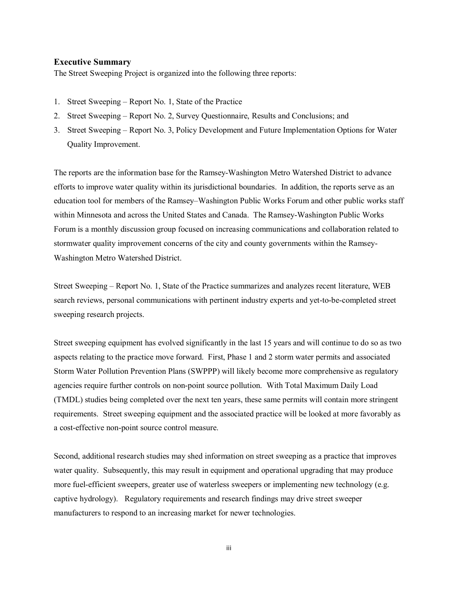#### **Executive Summary**

The Street Sweeping Project is organized into the following three reports:

- 1. Street Sweeping Report No. 1, State of the Practice
- 2. Street Sweeping Report No. 2, Survey Questionnaire, Results and Conclusions; and
- 3. Street Sweeping Report No. 3, Policy Development and Future Implementation Options for Water Quality Improvement.

The reports are the information base for the Ramsey-Washington Metro Watershed District to advance efforts to improve water quality within its jurisdictional boundaries. In addition, the reports serve as an education tool for members of the Ramsey–Washington Public Works Forum and other public works staff within Minnesota and across the United States and Canada. The Ramsey-Washington Public Works Forum is a monthly discussion group focused on increasing communications and collaboration related to stormwater quality improvement concerns of the city and county governments within the Ramsey-Washington Metro Watershed District.

Street Sweeping – Report No. 1, State of the Practice summarizes and analyzes recent literature, WEB search reviews, personal communications with pertinent industry experts and yet-to-be-completed street sweeping research projects.

Street sweeping equipment has evolved significantly in the last 15 years and will continue to do so as two aspects relating to the practice move forward. First, Phase 1 and 2 storm water permits and associated Storm Water Pollution Prevention Plans (SWPPP) will likely become more comprehensive as regulatory agencies require further controls on non-point source pollution. With Total Maximum Daily Load (TMDL) studies being completed over the next ten years, these same permits will contain more stringent requirements. Street sweeping equipment and the associated practice will be looked at more favorably as a cost-effective non-point source control measure.

Second, additional research studies may shed information on street sweeping as a practice that improves water quality. Subsequently, this may result in equipment and operational upgrading that may produce more fuel-efficient sweepers, greater use of waterless sweepers or implementing new technology (e.g. captive hydrology). Regulatory requirements and research findings may drive street sweeper manufacturers to respond to an increasing market for newer technologies.

iii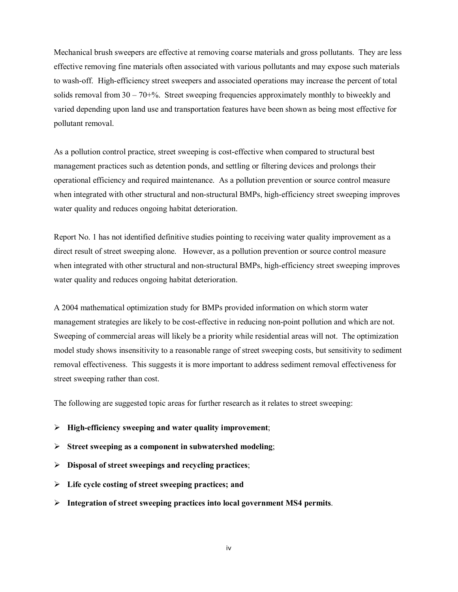Mechanical brush sweepers are effective at removing coarse materials and gross pollutants. They are less effective removing fine materials often associated with various pollutants and may expose such materials to wash-off. High-efficiency street sweepers and associated operations may increase the percent of total solids removal from  $30 - 70 +$ %. Street sweeping frequencies approximately monthly to biweekly and varied depending upon land use and transportation features have been shown as being most effective for pollutant removal.

As a pollution control practice, street sweeping is cost-effective when compared to structural best management practices such as detention ponds, and settling or filtering devices and prolongs their operational efficiency and required maintenance. As a pollution prevention or source control measure when integrated with other structural and non-structural BMPs, high-efficiency street sweeping improves water quality and reduces ongoing habitat deterioration.

Report No. 1 has not identified definitive studies pointing to receiving water quality improvement as a direct result of street sweeping alone. However, as a pollution prevention or source control measure when integrated with other structural and non-structural BMPs, high-efficiency street sweeping improves water quality and reduces ongoing habitat deterioration.

A 2004 mathematical optimization study for BMPs provided information on which storm water management strategies are likely to be cost-effective in reducing non-point pollution and which are not. Sweeping of commercial areas will likely be a priority while residential areas will not. The optimization model study shows insensitivity to a reasonable range of street sweeping costs, but sensitivity to sediment removal effectiveness. This suggests it is more important to address sediment removal effectiveness for street sweeping rather than cost.

The following are suggested topic areas for further research as it relates to street sweeping:

- ¾ **High-efficiency sweeping and water quality improvement**;
- ¾ **Street sweeping as a component in subwatershed modeling**;
- ¾ **Disposal of street sweepings and recycling practices**;
- ¾ **Life cycle costing of street sweeping practices; and**
- ¾ **Integration of street sweeping practices into local government MS4 permits**.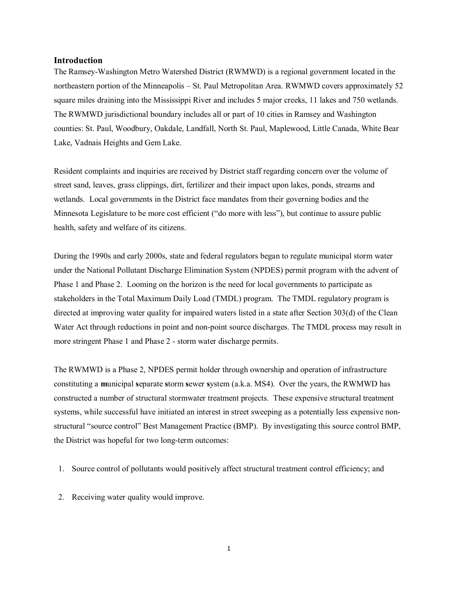#### **Introduction**

The Ramsey-Washington Metro Watershed District (RWMWD) is a regional government located in the northeastern portion of the Minneapolis – St. Paul Metropolitan Area. RWMWD covers approximately 52 square miles draining into the Mississippi River and includes 5 major creeks, 11 lakes and 750 wetlands. The RWMWD jurisdictional boundary includes all or part of 10 cities in Ramsey and Washington counties: St. Paul, Woodbury, Oakdale, Landfall, North St. Paul, Maplewood, Little Canada, White Bear Lake, Vadnais Heights and Gem Lake.

Resident complaints and inquiries are received by District staff regarding concern over the volume of street sand, leaves, grass clippings, dirt, fertilizer and their impact upon lakes, ponds, streams and wetlands. Local governments in the District face mandates from their governing bodies and the Minnesota Legislature to be more cost efficient ("do more with less"), but continue to assure public health, safety and welfare of its citizens.

During the 1990s and early 2000s, state and federal regulators began to regulate municipal storm water under the National Pollutant Discharge Elimination System (NPDES) permit program with the advent of Phase 1 and Phase 2. Looming on the horizon is the need for local governments to participate as stakeholders in the Total Maximum Daily Load (TMDL) program. The TMDL regulatory program is directed at improving water quality for impaired waters listed in a state after Section 303(d) of the Clean Water Act through reductions in point and non-point source discharges. The TMDL process may result in more stringent Phase 1 and Phase 2 - storm water discharge permits.

The RWMWD is a Phase 2, NPDES permit holder through ownership and operation of infrastructure constituting a **m**unicipal **s**eparate **s**torm **s**ewer **s**ystem (a.k.a. MS4). Over the years, the RWMWD has constructed a number of structural stormwater treatment projects. These expensive structural treatment systems, while successful have initiated an interest in street sweeping as a potentially less expensive nonstructural "source control" Best Management Practice (BMP). By investigating this source control BMP, the District was hopeful for two long-term outcomes:

- 1. Source control of pollutants would positively affect structural treatment control efficiency; and
- 2. Receiving water quality would improve.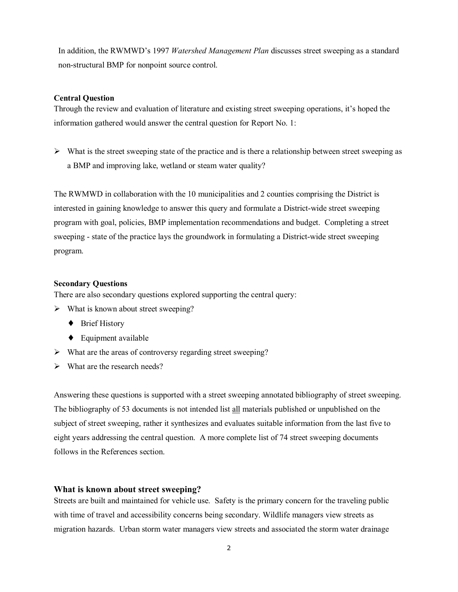In addition, the RWMWD's 1997 *Watershed Management Plan* discusses street sweeping as a standard non-structural BMP for nonpoint source control.

# **Central Question**

Through the review and evaluation of literature and existing street sweeping operations, it's hoped the information gathered would answer the central question for Report No. 1:

 $\triangleright$  What is the street sweeping state of the practice and is there a relationship between street sweeping as a BMP and improving lake, wetland or steam water quality?

The RWMWD in collaboration with the 10 municipalities and 2 counties comprising the District is interested in gaining knowledge to answer this query and formulate a District-wide street sweeping program with goal, policies, BMP implementation recommendations and budget. Completing a street sweeping - state of the practice lays the groundwork in formulating a District-wide street sweeping program.

#### **Secondary Questions**

There are also secondary questions explored supporting the central query:

- $\triangleright$  What is known about street sweeping?
	- ◆ Brief History
	- $\leftarrow$  Equipment available
- $\triangleright$  What are the areas of controversy regarding street sweeping?
- $\triangleright$  What are the research needs?

Answering these questions is supported with a street sweeping annotated bibliography of street sweeping. The bibliography of 53 documents is not intended list all materials published or unpublished on the subject of street sweeping, rather it synthesizes and evaluates suitable information from the last five to eight years addressing the central question. A more complete list of 74 street sweeping documents follows in the References section.

#### **What is known about street sweeping?**

Streets are built and maintained for vehicle use. Safety is the primary concern for the traveling public with time of travel and accessibility concerns being secondary. Wildlife managers view streets as migration hazards. Urban storm water managers view streets and associated the storm water drainage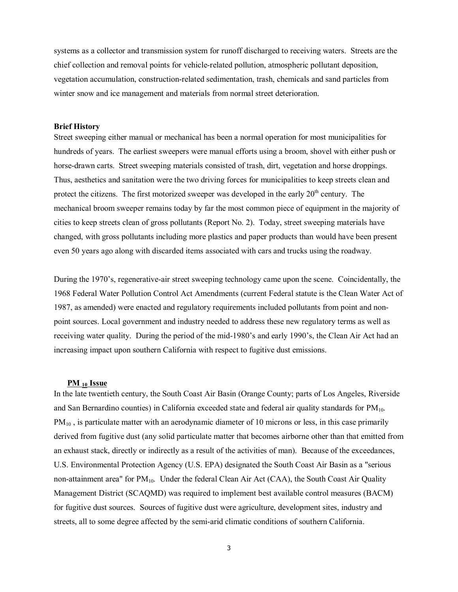systems as a collector and transmission system for runoff discharged to receiving waters. Streets are the chief collection and removal points for vehicle-related pollution, atmospheric pollutant deposition, vegetation accumulation, construction-related sedimentation, trash, chemicals and sand particles from winter snow and ice management and materials from normal street deterioration.

#### **Brief History**

Street sweeping either manual or mechanical has been a normal operation for most municipalities for hundreds of years. The earliest sweepers were manual efforts using a broom, shovel with either push or horse-drawn carts. Street sweeping materials consisted of trash, dirt, vegetation and horse droppings. Thus, aesthetics and sanitation were the two driving forces for municipalities to keep streets clean and protect the citizens. The first motorized sweeper was developed in the early 20<sup>th</sup> century. The mechanical broom sweeper remains today by far the most common piece of equipment in the majority of cities to keep streets clean of gross pollutants (Report No. 2). Today, street sweeping materials have changed, with gross pollutants including more plastics and paper products than would have been present even 50 years ago along with discarded items associated with cars and trucks using the roadway.

During the 1970's, regenerative-air street sweeping technology came upon the scene. Coincidentally, the 1968 Federal Water Pollution Control Act Amendments (current Federal statute is the Clean Water Act of 1987, as amended) were enacted and regulatory requirements included pollutants from point and nonpoint sources. Local government and industry needed to address these new regulatory terms as well as receiving water quality. During the period of the mid-1980's and early 1990's, the Clean Air Act had an increasing impact upon southern California with respect to fugitive dust emissions.

#### **PM 10 Issue**

In the late twentieth century, the South Coast Air Basin (Orange County; parts of Los Angeles, Riverside and San Bernardino counties) in California exceeded state and federal air quality standards for  $PM_{10}$ . PM<sub>10</sub>, is particulate matter with an aerodynamic diameter of 10 microns or less, in this case primarily derived from fugitive dust (any solid particulate matter that becomes airborne other than that emitted from an exhaust stack, directly or indirectly as a result of the activities of man). Because of the exceedances, U.S. Environmental Protection Agency (U.S. EPA) designated the South Coast Air Basin as a "serious non-attainment area" for  $PM_{10}$ . Under the federal Clean Air Act (CAA), the South Coast Air Quality Management District (SCAQMD) was required to implement best available control measures (BACM) for fugitive dust sources. Sources of fugitive dust were agriculture, development sites, industry and streets, all to some degree affected by the semi-arid climatic conditions of southern California.

3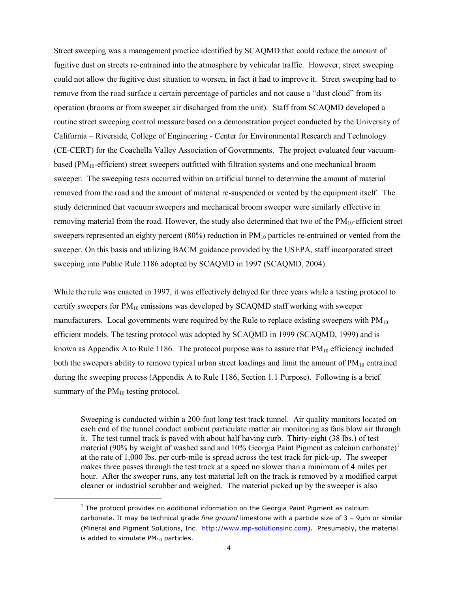Street sweeping was a management practice identified by SCAQMD that could reduce the amount of fugitive dust on streets re-entrained into the atmosphere by vehicular traffic. However, street sweeping could not allow the fugitive dust situation to worsen, in fact it had to improve it. Street sweeping had to remove from the road surface a certain percentage of particles and not cause a "dust cloud" from its operation (brooms or from sweeper air discharged from the unit). Staff from SCAQMD developed a routine street sweeping control measure based on a demonstration project conducted by the University of California – Riverside, College of Engineering - Center for Environmental Research and Technology (CE-CERT) for the Coachella Valley Association of Governments. The project evaluated four vacuumbased (PM<sub>10</sub>-efficient) street sweepers outfitted with filtration systems and one mechanical broom sweeper. The sweeping tests occurred within an artificial tunnel to determine the amount of material removed from the road and the amount of material re-suspended or vented by the equipment itself. The study determined that vacuum sweepers and mechanical broom sweeper were similarly effective in removing material from the road. However, the study also determined that two of the  $PM_{10}$ -efficient street sweepers represented an eighty percent (80%) reduction in  $PM_{10}$  particles re-entrained or vented from the sweeper. On this basis and utilizing BACM guidance provided by the USEPA, staff incorporated street sweeping into Public Rule 1186 adopted by SCAQMD in 1997 (SCAQMD, 2004).

While the rule was enacted in 1997, it was effectively delayed for three years while a testing protocol to certify sweepers for  $PM_{10}$  emissions was developed by SCAQMD staff working with sweeper manufacturers. Local governments were required by the Rule to replace existing sweepers with  $PM_{10}$ efficient models. The testing protocol was adopted by SCAQMD in 1999 (SCAQMD, 1999) and is known as Appendix A to Rule 1186. The protocol purpose was to assure that  $PM_{10}$  efficiency included both the sweepers ability to remove typical urban street loadings and limit the amount of  $PM_{10}$  entrained during the sweeping process (Appendix A to Rule 1186, Section 1.1 Purpose). Following is a brief summary of the  $PM_{10}$  testing protocol.

 Sweeping is conducted within a 200-foot long test track tunnel. Air quality monitors located on each end of the tunnel conduct ambient particulate matter air monitoring as fans blow air through it. The test tunnel track is paved with about half having curb. Thirty-eight (38 lbs.) of test material (90% by weight of washed sand and 10% Georgia Paint Pigment as calcium carbonate)<sup>1</sup> at the rate of 1,000 lbs. per curb-mile is spread across the test track for pick-up. The sweeper makes three passes through the test track at a speed no slower than a minimum of 4 miles per hour. After the sweeper runs, any test material left on the track is removed by a modified carpet cleaner or industrial scrubber and weighed. The material picked up by the sweeper is also

l

 $<sup>1</sup>$  The protocol provides no additional information on the Georgia Paint Pigment as calcium</sup> carbonate. It may be technical grade *fine ground* limestone with a particle size of 3 – 9µm or similar (Mineral and Pigment Solutions, Inc. http://www.mp-solutionsinc.com). Presumably, the material is added to simulate  $PM_{10}$  particles.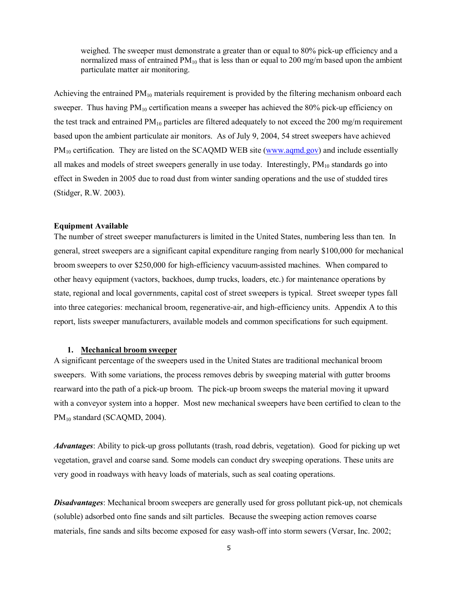weighed. The sweeper must demonstrate a greater than or equal to 80% pick-up efficiency and a normalized mass of entrained  $PM_{10}$  that is less than or equal to 200 mg/m based upon the ambient particulate matter air monitoring.

Achieving the entrained  $PM_{10}$  materials requirement is provided by the filtering mechanism onboard each sweeper. Thus having  $PM_{10}$  certification means a sweeper has achieved the 80% pick-up efficiency on the test track and entrained  $PM_{10}$  particles are filtered adequately to not exceed the 200 mg/m requirement based upon the ambient particulate air monitors. As of July 9, 2004, 54 street sweepers have achieved PM<sub>10</sub> certification. They are listed on the SCAQMD WEB site (www.aqmd.gov) and include essentially all makes and models of street sweepers generally in use today. Interestingly,  $PM_{10}$  standards go into effect in Sweden in 2005 due to road dust from winter sanding operations and the use of studded tires (Stidger, R.W. 2003).

#### **Equipment Available**

The number of street sweeper manufacturers is limited in the United States, numbering less than ten. In general, street sweepers are a significant capital expenditure ranging from nearly \$100,000 for mechanical broom sweepers to over \$250,000 for high-efficiency vacuum-assisted machines. When compared to other heavy equipment (vactors, backhoes, dump trucks, loaders, etc.) for maintenance operations by state, regional and local governments, capital cost of street sweepers is typical. Street sweeper types fall into three categories: mechanical broom, regenerative-air, and high-efficiency units. Appendix A to this report, lists sweeper manufacturers, available models and common specifications for such equipment.

#### **1. Mechanical broom sweeper**

A significant percentage of the sweepers used in the United States are traditional mechanical broom sweepers. With some variations, the process removes debris by sweeping material with gutter brooms rearward into the path of a pick-up broom. The pick-up broom sweeps the material moving it upward with a conveyor system into a hopper. Most new mechanical sweepers have been certified to clean to the PM<sub>10</sub> standard (SCAQMD, 2004).

*Advantages*: Ability to pick-up gross pollutants (trash, road debris, vegetation). Good for picking up wet vegetation, gravel and coarse sand. Some models can conduct dry sweeping operations. These units are very good in roadways with heavy loads of materials, such as seal coating operations.

*Disadvantages*: Mechanical broom sweepers are generally used for gross pollutant pick-up, not chemicals (soluble) adsorbed onto fine sands and silt particles. Because the sweeping action removes coarse materials, fine sands and silts become exposed for easy wash-off into storm sewers (Versar, Inc. 2002;

5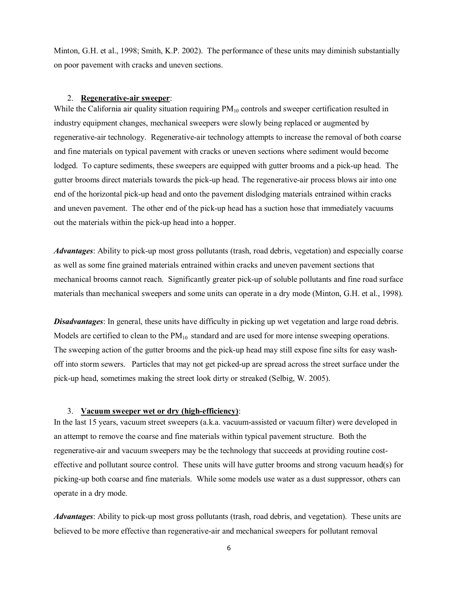Minton, G.H. et al., 1998; Smith, K.P. 2002). The performance of these units may diminish substantially on poor pavement with cracks and uneven sections.

#### 2. **Regenerative-air sweeper**:

While the California air quality situation requiring  $PM_{10}$  controls and sweeper certification resulted in industry equipment changes, mechanical sweepers were slowly being replaced or augmented by regenerative-air technology. Regenerative-air technology attempts to increase the removal of both coarse and fine materials on typical pavement with cracks or uneven sections where sediment would become lodged. To capture sediments, these sweepers are equipped with gutter brooms and a pick-up head. The gutter brooms direct materials towards the pick-up head. The regenerative-air process blows air into one end of the horizontal pick-up head and onto the pavement dislodging materials entrained within cracks and uneven pavement. The other end of the pick-up head has a suction hose that immediately vacuums out the materials within the pick-up head into a hopper.

*Advantages*: Ability to pick-up most gross pollutants (trash, road debris, vegetation) and especially coarse as well as some fine grained materials entrained within cracks and uneven pavement sections that mechanical brooms cannot reach. Significantly greater pick-up of soluble pollutants and fine road surface materials than mechanical sweepers and some units can operate in a dry mode (Minton, G.H. et al., 1998).

*Disadvantages*: In general, these units have difficulty in picking up wet vegetation and large road debris. Models are certified to clean to the  $PM_{10}$  standard and are used for more intense sweeping operations. The sweeping action of the gutter brooms and the pick-up head may still expose fine silts for easy washoff into storm sewers. Particles that may not get picked-up are spread across the street surface under the pick-up head, sometimes making the street look dirty or streaked (Selbig, W. 2005).

#### 3. **Vacuum sweeper wet or dry (high-efficiency)**:

In the last 15 years, vacuum street sweepers (a.k.a. vacuum-assisted or vacuum filter) were developed in an attempt to remove the coarse and fine materials within typical pavement structure. Both the regenerative-air and vacuum sweepers may be the technology that succeeds at providing routine costeffective and pollutant source control. These units will have gutter brooms and strong vacuum head(s) for picking-up both coarse and fine materials. While some models use water as a dust suppressor, others can operate in a dry mode.

*Advantages*: Ability to pick-up most gross pollutants (trash, road debris, and vegetation). These units are believed to be more effective than regenerative-air and mechanical sweepers for pollutant removal

6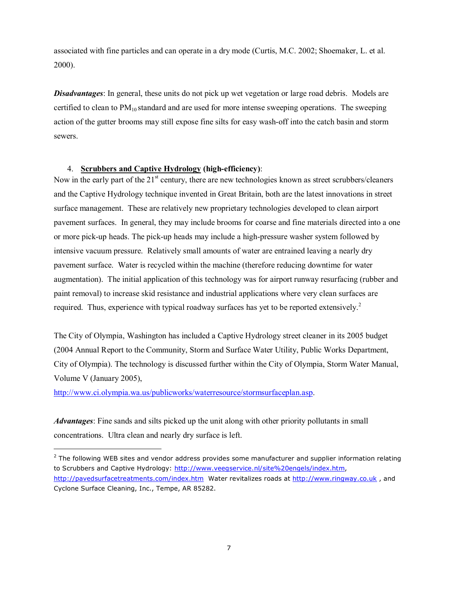associated with fine particles and can operate in a dry mode (Curtis, M.C. 2002; Shoemaker, L. et al. 2000).

*Disadvantages*: In general, these units do not pick up wet vegetation or large road debris. Models are certified to clean to  $PM_{10}$  standard and are used for more intense sweeping operations. The sweeping action of the gutter brooms may still expose fine silts for easy wash-off into the catch basin and storm sewers.

# 4. **Scrubbers and Captive Hydrology (high-efficiency)**:

Now in the early part of the 21<sup>st</sup> century, there are new technologies known as street scrubbers/cleaners and the Captive Hydrology technique invented in Great Britain, both are the latest innovations in street surface management. These are relatively new proprietary technologies developed to clean airport pavement surfaces. In general, they may include brooms for coarse and fine materials directed into a one or more pick-up heads. The pick-up heads may include a high-pressure washer system followed by intensive vacuum pressure. Relatively small amounts of water are entrained leaving a nearly dry pavement surface. Water is recycled within the machine (therefore reducing downtime for water augmentation). The initial application of this technology was for airport runway resurfacing (rubber and paint removal) to increase skid resistance and industrial applications where very clean surfaces are required. Thus, experience with typical roadway surfaces has yet to be reported extensively.<sup>2</sup>

The City of Olympia, Washington has included a Captive Hydrology street cleaner in its 2005 budget (2004 Annual Report to the Community, Storm and Surface Water Utility, Public Works Department, City of Olympia). The technology is discussed further within the City of Olympia, Storm Water Manual, Volume V (January 2005),

http://www.ci.olympia.wa.us/publicworks/waterresource/stormsurfaceplan.asp.

1

*Advantages*: Fine sands and silts picked up the unit along with other priority pollutants in small concentrations. Ultra clean and nearly dry surface is left.

 $^2$  The following WEB sites and vendor address provides some manufacturer and supplier information relating to Scrubbers and Captive Hydrology: http://www.veegservice.nl/site%20engels/index.htm, http://pavedsurfacetreatments.com/index.htm Water revitalizes roads at http://www.ringway.co.uk, and Cyclone Surface Cleaning, Inc., Tempe, AR 85282.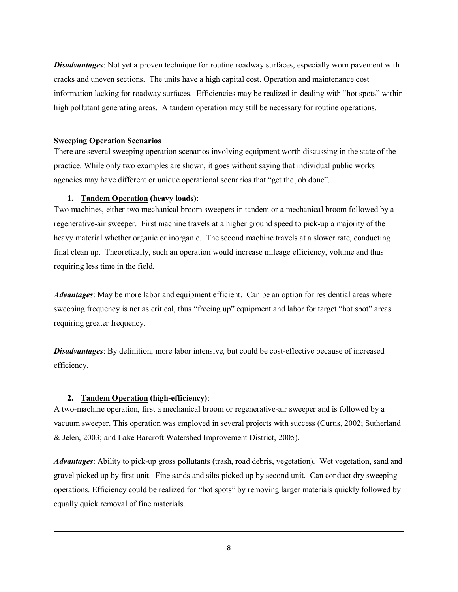*Disadvantages*: Not yet a proven technique for routine roadway surfaces, especially worn pavement with cracks and uneven sections. The units have a high capital cost. Operation and maintenance cost information lacking for roadway surfaces. Efficiencies may be realized in dealing with "hot spots" within high pollutant generating areas. A tandem operation may still be necessary for routine operations.

#### **Sweeping Operation Scenarios**

There are several sweeping operation scenarios involving equipment worth discussing in the state of the practice. While only two examples are shown, it goes without saying that individual public works agencies may have different or unique operational scenarios that "get the job done".

#### **1. Tandem Operation (heavy loads)**:

Two machines, either two mechanical broom sweepers in tandem or a mechanical broom followed by a regenerative-air sweeper. First machine travels at a higher ground speed to pick-up a majority of the heavy material whether organic or inorganic. The second machine travels at a slower rate, conducting final clean up. Theoretically, such an operation would increase mileage efficiency, volume and thus requiring less time in the field.

*Advantages*: May be more labor and equipment efficient. Can be an option for residential areas where sweeping frequency is not as critical, thus "freeing up" equipment and labor for target "hot spot" areas requiring greater frequency.

*Disadvantages*: By definition, more labor intensive, but could be cost-effective because of increased efficiency.

#### **2. Tandem Operation (high-efficiency)**:

1

A two-machine operation, first a mechanical broom or regenerative-air sweeper and is followed by a vacuum sweeper. This operation was employed in several projects with success (Curtis, 2002; Sutherland & Jelen, 2003; and Lake Barcroft Watershed Improvement District, 2005).

*Advantages*: Ability to pick-up gross pollutants (trash, road debris, vegetation). Wet vegetation, sand and gravel picked up by first unit. Fine sands and silts picked up by second unit. Can conduct dry sweeping operations. Efficiency could be realized for "hot spots" by removing larger materials quickly followed by equally quick removal of fine materials.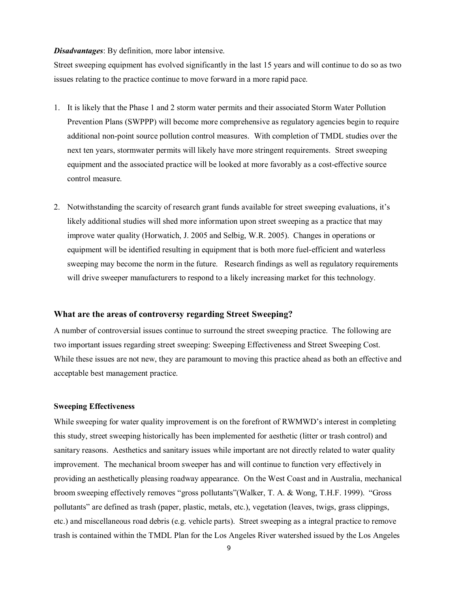#### *Disadvantages*: By definition, more labor intensive.

Street sweeping equipment has evolved significantly in the last 15 years and will continue to do so as two issues relating to the practice continue to move forward in a more rapid pace.

- 1. It is likely that the Phase 1 and 2 storm water permits and their associated Storm Water Pollution Prevention Plans (SWPPP) will become more comprehensive as regulatory agencies begin to require additional non-point source pollution control measures. With completion of TMDL studies over the next ten years, stormwater permits will likely have more stringent requirements. Street sweeping equipment and the associated practice will be looked at more favorably as a cost-effective source control measure.
- 2. Notwithstanding the scarcity of research grant funds available for street sweeping evaluations, it's likely additional studies will shed more information upon street sweeping as a practice that may improve water quality (Horwatich, J. 2005 and Selbig, W.R. 2005). Changes in operations or equipment will be identified resulting in equipment that is both more fuel-efficient and waterless sweeping may become the norm in the future. Research findings as well as regulatory requirements will drive sweeper manufacturers to respond to a likely increasing market for this technology.

#### **What are the areas of controversy regarding Street Sweeping?**

A number of controversial issues continue to surround the street sweeping practice. The following are two important issues regarding street sweeping: Sweeping Effectiveness and Street Sweeping Cost. While these issues are not new, they are paramount to moving this practice ahead as both an effective and acceptable best management practice.

#### **Sweeping Effectiveness**

While sweeping for water quality improvement is on the forefront of RWMWD's interest in completing this study, street sweeping historically has been implemented for aesthetic (litter or trash control) and sanitary reasons. Aesthetics and sanitary issues while important are not directly related to water quality improvement. The mechanical broom sweeper has and will continue to function very effectively in providing an aesthetically pleasing roadway appearance. On the West Coast and in Australia, mechanical broom sweeping effectively removes "gross pollutants"(Walker, T. A. & Wong, T.H.F. 1999). "Gross pollutants" are defined as trash (paper, plastic, metals, etc.), vegetation (leaves, twigs, grass clippings, etc.) and miscellaneous road debris (e.g. vehicle parts). Street sweeping as a integral practice to remove trash is contained within the TMDL Plan for the Los Angeles River watershed issued by the Los Angeles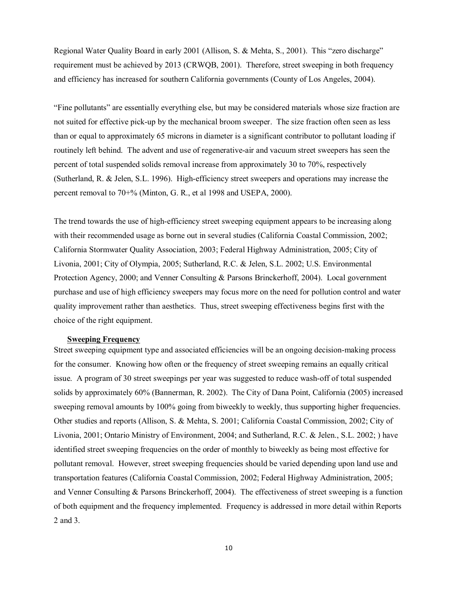Regional Water Quality Board in early 2001 (Allison, S. & Mehta, S., 2001). This "zero discharge" requirement must be achieved by 2013 (CRWQB, 2001). Therefore, street sweeping in both frequency and efficiency has increased for southern California governments (County of Los Angeles, 2004).

"Fine pollutants" are essentially everything else, but may be considered materials whose size fraction are not suited for effective pick-up by the mechanical broom sweeper. The size fraction often seen as less than or equal to approximately 65 microns in diameter is a significant contributor to pollutant loading if routinely left behind. The advent and use of regenerative-air and vacuum street sweepers has seen the percent of total suspended solids removal increase from approximately 30 to 70%, respectively (Sutherland, R. & Jelen, S.L. 1996). High-efficiency street sweepers and operations may increase the percent removal to 70+% (Minton, G. R., et al 1998 and USEPA, 2000).

The trend towards the use of high-efficiency street sweeping equipment appears to be increasing along with their recommended usage as borne out in several studies (California Coastal Commission, 2002; California Stormwater Quality Association, 2003; Federal Highway Administration, 2005; City of Livonia, 2001; City of Olympia, 2005; Sutherland, R.C. & Jelen, S.L. 2002; U.S. Environmental Protection Agency, 2000; and Venner Consulting & Parsons Brinckerhoff, 2004). Local government purchase and use of high efficiency sweepers may focus more on the need for pollution control and water quality improvement rather than aesthetics. Thus, street sweeping effectiveness begins first with the choice of the right equipment.

#### **Sweeping Frequency**

Street sweeping equipment type and associated efficiencies will be an ongoing decision-making process for the consumer. Knowing how often or the frequency of street sweeping remains an equally critical issue. A program of 30 street sweepings per year was suggested to reduce wash-off of total suspended solids by approximately 60% (Bannerman, R. 2002). The City of Dana Point, California (2005) increased sweeping removal amounts by 100% going from biweekly to weekly, thus supporting higher frequencies. Other studies and reports (Allison, S. & Mehta, S. 2001; California Coastal Commission, 2002; City of Livonia, 2001; Ontario Ministry of Environment, 2004; and Sutherland, R.C. & Jelen., S.L. 2002; ) have identified street sweeping frequencies on the order of monthly to biweekly as being most effective for pollutant removal. However, street sweeping frequencies should be varied depending upon land use and transportation features (California Coastal Commission, 2002; Federal Highway Administration, 2005; and Venner Consulting & Parsons Brinckerhoff, 2004). The effectiveness of street sweeping is a function of both equipment and the frequency implemented. Frequency is addressed in more detail within Reports 2 and 3.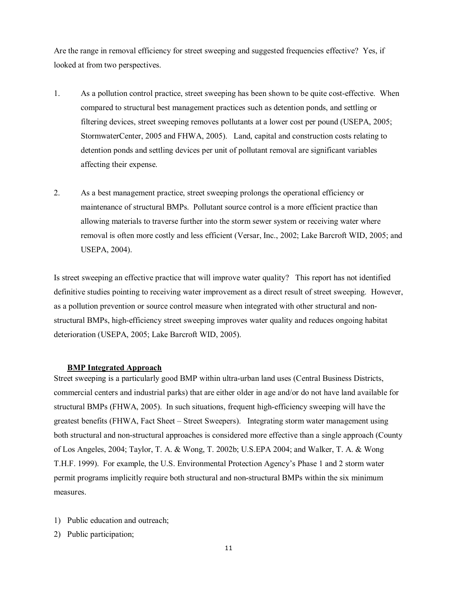Are the range in removal efficiency for street sweeping and suggested frequencies effective? Yes, if looked at from two perspectives.

- 1. As a pollution control practice, street sweeping has been shown to be quite cost-effective. When compared to structural best management practices such as detention ponds, and settling or filtering devices, street sweeping removes pollutants at a lower cost per pound (USEPA, 2005; StormwaterCenter, 2005 and FHWA, 2005). Land, capital and construction costs relating to detention ponds and settling devices per unit of pollutant removal are significant variables affecting their expense.
- 2. As a best management practice, street sweeping prolongs the operational efficiency or maintenance of structural BMPs. Pollutant source control is a more efficient practice than allowing materials to traverse further into the storm sewer system or receiving water where removal is often more costly and less efficient (Versar, Inc., 2002; Lake Barcroft WID, 2005; and USEPA, 2004).

Is street sweeping an effective practice that will improve water quality? This report has not identified definitive studies pointing to receiving water improvement as a direct result of street sweeping. However, as a pollution prevention or source control measure when integrated with other structural and nonstructural BMPs, high-efficiency street sweeping improves water quality and reduces ongoing habitat deterioration (USEPA, 2005; Lake Barcroft WID, 2005).

#### **BMP Integrated Approach**

Street sweeping is a particularly good BMP within ultra-urban land uses (Central Business Districts, commercial centers and industrial parks) that are either older in age and/or do not have land available for structural BMPs (FHWA, 2005). In such situations, frequent high-efficiency sweeping will have the greatest benefits (FHWA, Fact Sheet – Street Sweepers). Integrating storm water management using both structural and non-structural approaches is considered more effective than a single approach (County of Los Angeles, 2004; Taylor, T. A. & Wong, T. 2002b; U.S.EPA 2004; and Walker, T. A. & Wong T.H.F. 1999). For example, the U.S. Environmental Protection Agency's Phase 1 and 2 storm water permit programs implicitly require both structural and non-structural BMPs within the six minimum measures.

- 1) Public education and outreach;
- 2) Public participation;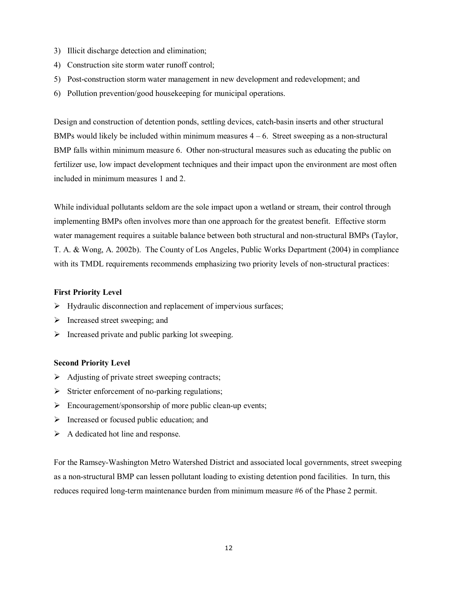- 3) Illicit discharge detection and elimination;
- 4) Construction site storm water runoff control;
- 5) Post-construction storm water management in new development and redevelopment; and
- 6) Pollution prevention/good housekeeping for municipal operations.

Design and construction of detention ponds, settling devices, catch-basin inserts and other structural BMPs would likely be included within minimum measures  $4 - 6$ . Street sweeping as a non-structural BMP falls within minimum measure 6. Other non-structural measures such as educating the public on fertilizer use, low impact development techniques and their impact upon the environment are most often included in minimum measures 1 and 2.

While individual pollutants seldom are the sole impact upon a wetland or stream, their control through implementing BMPs often involves more than one approach for the greatest benefit. Effective storm water management requires a suitable balance between both structural and non-structural BMPs (Taylor, T. A. & Wong, A. 2002b). The County of Los Angeles, Public Works Department (2004) in compliance with its TMDL requirements recommends emphasizing two priority levels of non-structural practices:

#### **First Priority Level**

- $\triangleright$  Hydraulic disconnection and replacement of impervious surfaces;
- $\triangleright$  Increased street sweeping; and
- $\triangleright$  Increased private and public parking lot sweeping.

#### **Second Priority Level**

- $\triangleright$  Adjusting of private street sweeping contracts;
- $\triangleright$  Stricter enforcement of no-parking regulations;
- $\triangleright$  Encouragement/sponsorship of more public clean-up events;
- $\triangleright$  Increased or focused public education; and
- $\triangleright$  A dedicated hot line and response.

For the Ramsey-Washington Metro Watershed District and associated local governments, street sweeping as a non-structural BMP can lessen pollutant loading to existing detention pond facilities. In turn, this reduces required long-term maintenance burden from minimum measure #6 of the Phase 2 permit.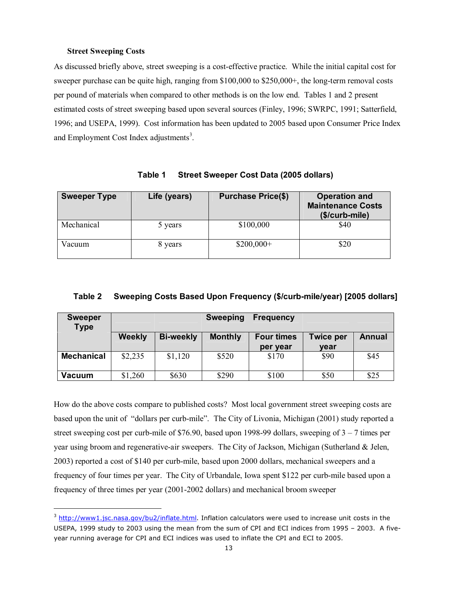#### **Street Sweeping Costs**

l

As discussed briefly above, street sweeping is a cost-effective practice. While the initial capital cost for sweeper purchase can be quite high, ranging from \$100,000 to \$250,000+, the long-term removal costs per pound of materials when compared to other methods is on the low end. Tables 1 and 2 present estimated costs of street sweeping based upon several sources (Finley, 1996; SWRPC, 1991; Satterfield, 1996; and USEPA, 1999). Cost information has been updated to 2005 based upon Consumer Price Index and Employment Cost Index adjustments<sup>3</sup>.

| <b>Sweeper Type</b> | Life (years) | <b>Purchase Price(\$)</b> | <b>Operation and</b><br><b>Maintenance Costs</b><br>(\$/curb-mile) |
|---------------------|--------------|---------------------------|--------------------------------------------------------------------|
| Mechanical          | 5 years      | \$100,000                 | \$40                                                               |
| Vacuum              | 8 years      | $$200,000+$               | \$20                                                               |

**Table 1 Street Sweeper Cost Data (2005 dollars)** 

# **Table 2 Sweeping Costs Based Upon Frequency (\$/curb-mile/year) [2005 dollars]**

| <b>Sweeper</b><br><b>Type</b> |               |                  | <b>Sweeping</b> | <b>Frequency</b>  |                  |               |
|-------------------------------|---------------|------------------|-----------------|-------------------|------------------|---------------|
|                               | <b>Weekly</b> | <b>Bi-weekly</b> | <b>Monthly</b>  | <b>Four times</b> | <b>Twice per</b> | <b>Annual</b> |
|                               |               |                  |                 | per year          | year             |               |
| <b>Mechanical</b>             | \$2,235       | \$1,120          | \$520           | \$170             | \$90             | \$45          |
| <b>Vacuum</b>                 | \$1,260       | \$630            | \$290           | \$100             | \$50             | \$25          |

How do the above costs compare to published costs? Most local government street sweeping costs are based upon the unit of "dollars per curb-mile". The City of Livonia, Michigan (2001) study reported a street sweeping cost per curb-mile of \$76.90, based upon 1998-99 dollars, sweeping of  $3 - 7$  times per year using broom and regenerative-air sweepers. The City of Jackson, Michigan (Sutherland & Jelen, 2003) reported a cost of \$140 per curb-mile, based upon 2000 dollars, mechanical sweepers and a frequency of four times per year. The City of Urbandale, Iowa spent \$122 per curb-mile based upon a frequency of three times per year (2001-2002 dollars) and mechanical broom sweeper

<sup>&</sup>lt;sup>3</sup> http://www1.jsc.nasa.gov/bu2/inflate.html</u>. Inflation calculators were used to increase unit costs in the USEPA, 1999 study to 2003 using the mean from the sum of CPI and ECI indices from 1995 – 2003. A fiveyear running average for CPI and ECI indices was used to inflate the CPI and ECI to 2005.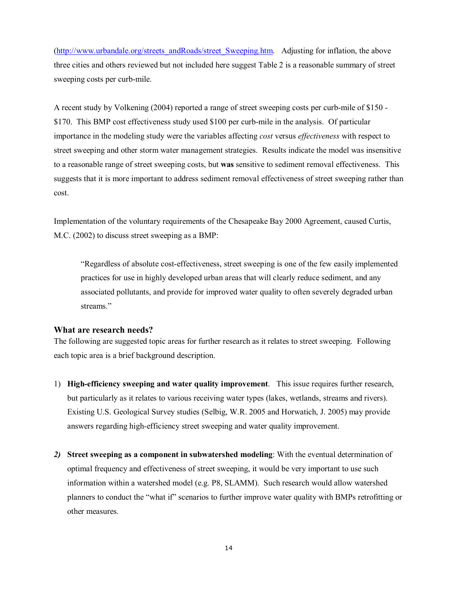(http://www.urbandale.org/streets\_andRoads/street\_Sweeping.htm. Adjusting for inflation, the above three cities and others reviewed but not included here suggest Table 2 is a reasonable summary of street sweeping costs per curb-mile.

A recent study by Volkening (2004) reported a range of street sweeping costs per curb-mile of \$150 - \$170. This BMP cost effectiveness study used \$100 per curb-mile in the analysis. Of particular importance in the modeling study were the variables affecting *cost* versus *effectiveness* with respect to street sweeping and other storm water management strategies. Results indicate the model was insensitive to a reasonable range of street sweeping costs, but **was** sensitive to sediment removal effectiveness. This suggests that it is more important to address sediment removal effectiveness of street sweeping rather than cost.

Implementation of the voluntary requirements of the Chesapeake Bay 2000 Agreement, caused Curtis, M.C. (2002) to discuss street sweeping as a BMP:

"Regardless of absolute cost-effectiveness, street sweeping is one of the few easily implemented practices for use in highly developed urban areas that will clearly reduce sediment, and any associated pollutants, and provide for improved water quality to often severely degraded urban streams."

#### **What are research needs?**

The following are suggested topic areas for further research as it relates to street sweeping. Following each topic area is a brief background description.

- 1) **High-efficiency sweeping and water quality improvement**. This issue requires further research, but particularly as it relates to various receiving water types (lakes, wetlands, streams and rivers). Existing U.S. Geological Survey studies (Selbig, W.R. 2005 and Horwatich, J. 2005) may provide answers regarding high-efficiency street sweeping and water quality improvement.
- *2)* **Street sweeping as a component in subwatershed modeling**: With the eventual determination of optimal frequency and effectiveness of street sweeping, it would be very important to use such information within a watershed model (e.g. P8, SLAMM). Such research would allow watershed planners to conduct the "what if" scenarios to further improve water quality with BMPs retrofitting or other measures.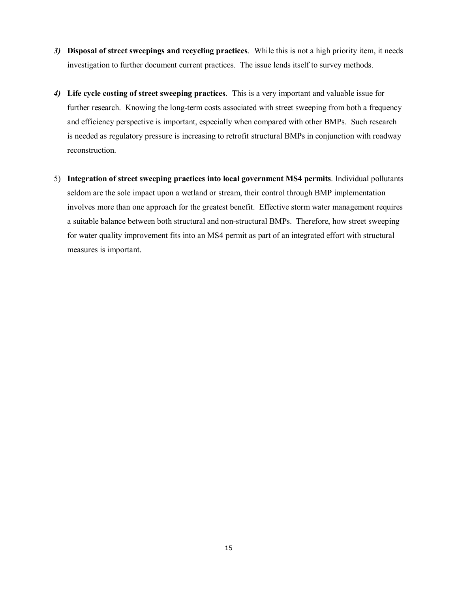- *3)* **Disposal of street sweepings and recycling practices**. While this is not a high priority item, it needs investigation to further document current practices. The issue lends itself to survey methods.
- *4)* **Life cycle costing of street sweeping practices**. This is a very important and valuable issue for further research. Knowing the long-term costs associated with street sweeping from both a frequency and efficiency perspective is important, especially when compared with other BMPs. Such research is needed as regulatory pressure is increasing to retrofit structural BMPs in conjunction with roadway reconstruction.
- 5) **Integration of street sweeping practices into local government MS4 permits**. Individual pollutants seldom are the sole impact upon a wetland or stream, their control through BMP implementation involves more than one approach for the greatest benefit. Effective storm water management requires a suitable balance between both structural and non-structural BMPs. Therefore, how street sweeping for water quality improvement fits into an MS4 permit as part of an integrated effort with structural measures is important.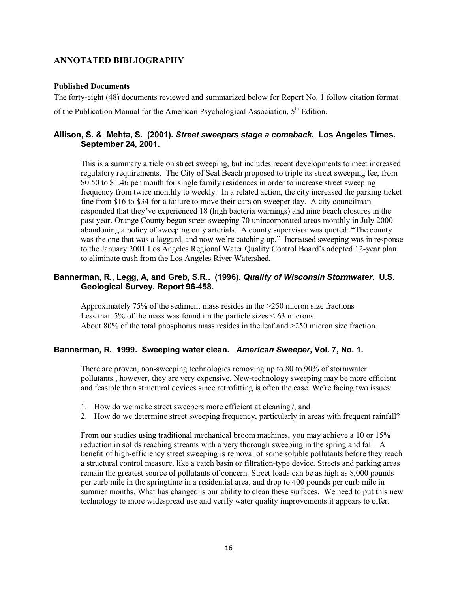# **ANNOTATED BIBLIOGRAPHY**

#### **Published Documents**

The forty-eight (48) documents reviewed and summarized below for Report No. 1 follow citation format of the Publication Manual for the American Psychological Association, 5<sup>th</sup> Edition.

# **Allison, S. & Mehta, S. (2001).** *Street sweepers stage a comeback***. Los Angeles Times. September 24, 2001.**

This is a summary article on street sweeping, but includes recent developments to meet increased regulatory requirements. The City of Seal Beach proposed to triple its street sweeping fee, from \$0.50 to \$1.46 per month for single family residences in order to increase street sweeping frequency from twice monthly to weekly. In a related action, the city increased the parking ticket fine from \$16 to \$34 for a failure to move their cars on sweeper day. A city councilman responded that they've experienced 18 (high bacteria warnings) and nine beach closures in the past year. Orange County began street sweeping 70 unincorporated areas monthly in July 2000 abandoning a policy of sweeping only arterials. A county supervisor was quoted: "The county was the one that was a laggard, and now we're catching up." Increased sweeping was in response to the January 2001 Los Angeles Regional Water Quality Control Board's adopted 12-year plan to eliminate trash from the Los Angeles River Watershed.

#### **Bannerman, R., Legg, A, and Greb, S.R.. (1996).** *Quality of Wisconsin Stormwater***. U.S. Geological Survey. Report 96-458.**

Approximately 75% of the sediment mass resides in the >250 micron size fractions Less than 5% of the mass was found iin the particle sizes  $< 63$  microns. About 80% of the total phosphorus mass resides in the leaf and >250 micron size fraction.

#### **Bannerman, R. 1999. Sweeping water clean.** *American Sweeper***, Vol. 7, No. 1.**

There are proven, non-sweeping technologies removing up to 80 to 90% of stormwater pollutants., however, they are very expensive. New-technology sweeping may be more efficient and feasible than structural devices since retrofitting is often the case. We're facing two issues:

- 1. How do we make street sweepers more efficient at cleaning?, and
- 2. How do we determine street sweeping frequency, particularly in areas with frequent rainfall?

From our studies using traditional mechanical broom machines, you may achieve a 10 or 15% reduction in solids reaching streams with a very thorough sweeping in the spring and fall. A benefit of high-efficiency street sweeping is removal of some soluble pollutants before they reach a structural control measure, like a catch basin or filtration-type device. Streets and parking areas remain the greatest source of pollutants of concern. Street loads can be as high as 8,000 pounds per curb mile in the springtime in a residential area, and drop to 400 pounds per curb mile in summer months. What has changed is our ability to clean these surfaces. We need to put this new technology to more widespread use and verify water quality improvements it appears to offer.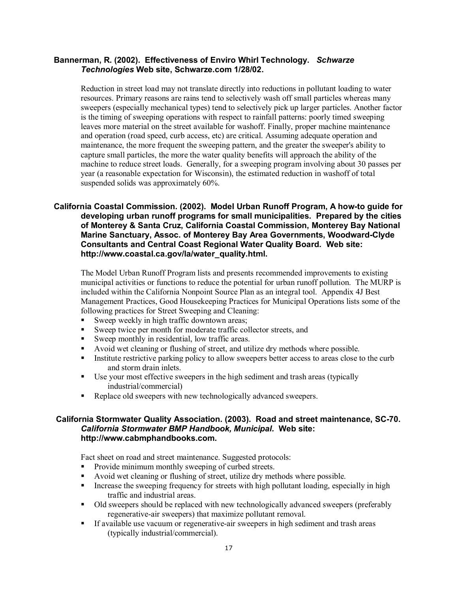# **Bannerman, R. (2002). Effectiveness of Enviro Whirl Technology.** *Schwarze Technologies* **Web site, Schwarze.com 1/28/02.**

Reduction in street load may not translate directly into reductions in pollutant loading to water resources. Primary reasons are rains tend to selectively wash off small particles whereas many sweepers (especially mechanical types) tend to selectively pick up larger particles. Another factor is the timing of sweeping operations with respect to rainfall patterns: poorly timed sweeping leaves more material on the street available for washoff. Finally, proper machine maintenance and operation (road speed, curb access, etc) are critical. Assuming adequate operation and maintenance, the more frequent the sweeping pattern, and the greater the sweeper's ability to capture small particles, the more the water quality benefits will approach the ability of the machine to reduce street loads. Generally, for a sweeping program involving about 30 passes per year (a reasonable expectation for Wisconsin), the estimated reduction in washoff of total suspended solids was approximately 60%.

# **California Coastal Commission. (2002). Model Urban Runoff Program, A how-to guide for developing urban runoff programs for small municipalities. Prepared by the cities of Monterey & Santa Cruz, California Coastal Commission, Monterey Bay National Marine Sanctuary, Assoc. of Monterey Bay Area Governments, Woodward-Clyde Consultants and Central Coast Regional Water Quality Board***.* **Web site: http://www.coastal.ca.gov/la/water\_quality.html.**

The Model Urban Runoff Program lists and presents recommended improvements to existing municipal activities or functions to reduce the potential for urban runoff pollution. The MURP is included within the California Nonpoint Source Plan as an integral tool. Appendix 4J Best Management Practices, Good Housekeeping Practices for Municipal Operations lists some of the following practices for Street Sweeping and Cleaning:

- Sweep weekly in high traffic downtown areas;
- Sweep twice per month for moderate traffic collector streets, and
- Sweep monthly in residential, low traffic areas.
- Avoid wet cleaning or flushing of street, and utilize dry methods where possible.
- Institute restrictive parking policy to allow sweepers better access to areas close to the curb and storm drain inlets.
- Use your most effective sweepers in the high sediment and trash areas (typically industrial/commercial)
- Replace old sweepers with new technologically advanced sweepers.

# **California Stormwater Quality Association. (2003). Road and street maintenance, SC-70.**  *California Stormwater BMP Handbook, Municipal.* **Web site: http://www.cabmphandbooks.com.**

Fact sheet on road and street maintenance. Suggested protocols:

- **Provide minimum monthly sweeping of curbed streets.**
- Avoid wet cleaning or flushing of street, utilize dry methods where possible.
- Increase the sweeping frequency for streets with high pollutant loading, especially in high traffic and industrial areas.
- Old sweepers should be replaced with new technologically advanced sweepers (preferably regenerative-air sweepers) that maximize pollutant removal.
- If available use vacuum or regenerative-air sweepers in high sediment and trash areas (typically industrial/commercial).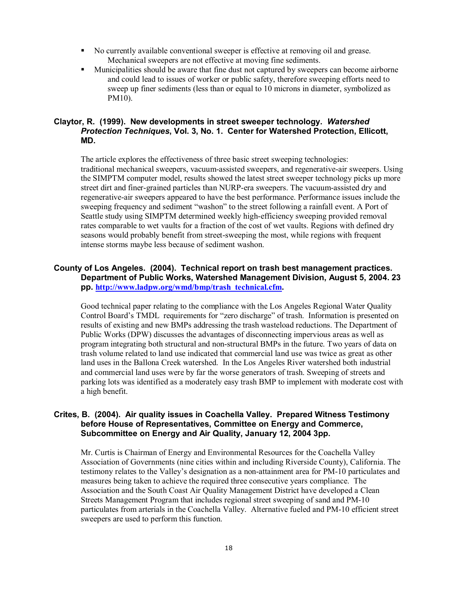- No currently available conventional sweeper is effective at removing oil and grease. Mechanical sweepers are not effective at moving fine sediments.
- Municipalities should be aware that fine dust not captured by sweepers can become airborne and could lead to issues of worker or public safety, therefore sweeping efforts need to sweep up finer sediments (less than or equal to 10 microns in diameter, symbolized as PM10).

# **Claytor, R. (1999). New developments in street sweeper technology.** *Watershed Protection Techniques***, Vol. 3, No. 1. Center for Watershed Protection, Ellicott, MD.**

The article explores the effectiveness of three basic street sweeping technologies: traditional mechanical sweepers, vacuum-assisted sweepers, and regenerative-air sweepers. Using the SIMPTM computer model, results showed the latest street sweeper technology picks up more street dirt and finer-grained particles than NURP-era sweepers. The vacuum-assisted dry and regenerative-air sweepers appeared to have the best performance. Performance issues include the sweeping frequency and sediment "washon" to the street following a rainfall event. A Port of Seattle study using SIMPTM determined weekly high-efficiency sweeping provided removal rates comparable to wet vaults for a fraction of the cost of wet vaults. Regions with defined dry seasons would probably benefit from street-sweeping the most, while regions with frequent intense storms maybe less because of sediment washon.

# **County of Los Angeles. (2004). Technical report on trash best management practices. Department of Public Works, Watershed Management Division, August 5, 2004. 23 pp. http://www.ladpw.org/wmd/bmp/trash\_technical.cfm.**

Good technical paper relating to the compliance with the Los Angeles Regional Water Quality Control Board's TMDL requirements for "zero discharge" of trash. Information is presented on results of existing and new BMPs addressing the trash wasteload reductions. The Department of Public Works (DPW) discusses the advantages of disconnecting impervious areas as well as program integrating both structural and non-structural BMPs in the future. Two years of data on trash volume related to land use indicated that commercial land use was twice as great as other land uses in the Ballona Creek watershed. In the Los Angeles River watershed both industrial and commercial land uses were by far the worse generators of trash. Sweeping of streets and parking lots was identified as a moderately easy trash BMP to implement with moderate cost with a high benefit.

#### **Crites, B. (2004). Air quality issues in Coachella Valley. Prepared Witness Testimony before House of Representatives, Committee on Energy and Commerce, Subcommittee on Energy and Air Quality, January 12, 2004 3pp.**

Mr. Curtis is Chairman of Energy and Environmental Resources for the Coachella Valley Association of Governments (nine cities within and including Riverside County), California. The testimony relates to the Valley's designation as a non-attainment area for PM-10 particulates and measures being taken to achieve the required three consecutive years compliance. The Association and the South Coast Air Quality Management District have developed a Clean Streets Management Program that includes regional street sweeping of sand and PM-10 particulates from arterials in the Coachella Valley. Alternative fueled and PM-10 efficient street sweepers are used to perform this function.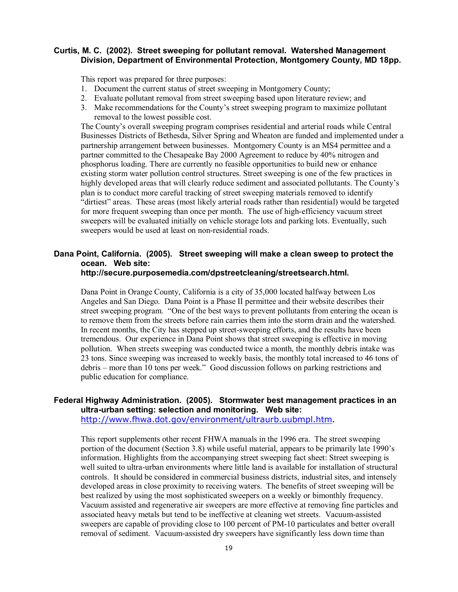#### **Curtis, M. C. (2002). Street sweeping for pollutant removal. Watershed Management Division, Department of Environmental Protection, Montgomery County, MD 18pp.**

This report was prepared for three purposes:

- 1. Document the current status of street sweeping in Montgomery County;
- 2. Evaluate pollutant removal from street sweeping based upon literature review; and
- 3. Make recommendations for the County's street sweeping program to maximize pollutant removal to the lowest possible cost.

The County's overall sweeping program comprises residential and arterial roads while Central Businesses Districts of Bethesda, Silver Spring and Wheaton are funded and implemented under a partnership arrangement between businesses. Montgomery County is an MS4 permittee and a partner committed to the Chesapeake Bay 2000 Agreement to reduce by 40% nitrogen and phosphorus loading. There are currently no feasible opportunities to build new or enhance existing storm water pollution control structures. Street sweeping is one of the few practices in highly developed areas that will clearly reduce sediment and associated pollutants. The County's plan is to conduct more careful tracking of street sweeping materials removed to identify "dirtiest" areas. These areas (most likely arterial roads rather than residential) would be targeted for more frequent sweeping than once per month. The use of high-efficiency vacuum street sweepers will be evaluated initially on vehicle storage lots and parking lots. Eventually, such sweepers would be used at least on non-residential roads.

# **Dana Point, California. (2005). Street sweeping will make a clean sweep to protect the ocean. Web site:**

#### **http://secure.purposemedia.com/dpstreetcleaning/streetsearch.html.**

Dana Point in Orange County, California is a city of 35,000 located halfway between Los Angeles and San Diego. Dana Point is a Phase II permittee and their website describes their street sweeping program. "One of the best ways to prevent pollutants from entering the ocean is to remove them from the streets before rain carries them into the storm drain and the watershed. In recent months, the City has stepped up street-sweeping efforts, and the results have been tremendous. Our experience in Dana Point shows that street sweeping is effective in moving pollution. When streets sweeping was conducted twice a month, the monthly debris intake was 23 tons. Since sweeping was increased to weekly basis, the monthly total increased to 46 tons of debris – more than 10 tons per week." Good discussion follows on parking restrictions and public education for compliance.

# **Federal Highway Administration. (2005). Stormwater best management practices in an ultra-urban setting: selection and monitoring. Web site:**

http://www.fhwa.dot.gov/environment/ultraurb.uubmpl.htm**.** 

This report supplements other recent FHWA manuals in the 1996 era. The street sweeping portion of the document (Section 3.8) while useful material, appears to be primarily late 1990's information. Highlights from the accompanying street sweeping fact sheet: Street sweeping is well suited to ultra-urban environments where little land is available for installation of structural controls. It should be considered in commercial business districts, industrial sites, and intensely developed areas in close proximity to receiving waters. The benefits of street sweeping will be best realized by using the most sophisticated sweepers on a weekly or bimonthly frequency. Vacuum assisted and regenerative air sweepers are more effective at removing fine particles and associated heavy metals but tend to be ineffective at cleaning wet streets. Vacuum-assisted sweepers are capable of providing close to 100 percent of PM-10 particulates and better overall removal of sediment. Vacuum-assisted dry sweepers have significantly less down time than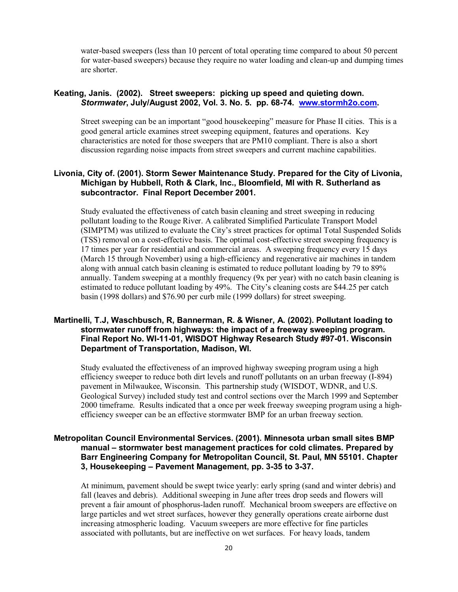water-based sweepers (less than 10 percent of total operating time compared to about 50 percent for water-based sweepers) because they require no water loading and clean-up and dumping times are shorter.

# **Keating, Janis. (2002). Street sweepers: picking up speed and quieting down.**  *Stormwater***, July/August 2002, Vol. 3. No. 5. pp. 68-74. www.stormh2o.com.**

Street sweeping can be an important "good housekeeping" measure for Phase II cities. This is a good general article examines street sweeping equipment, features and operations. Key characteristics are noted for those sweepers that are PM10 compliant. There is also a short discussion regarding noise impacts from street sweepers and current machine capabilities.

#### **Livonia, City of. (2001). Storm Sewer Maintenance Study. Prepared for the City of Livonia, Michigan by Hubbell, Roth & Clark, Inc., Bloomfield, MI with R. Sutherland as subcontractor. Final Report December 2001.**

Study evaluated the effectiveness of catch basin cleaning and street sweeping in reducing pollutant loading to the Rouge River. A calibrated Simplified Particulate Transport Model (SIMPTM) was utilized to evaluate the City's street practices for optimal Total Suspended Solids (TSS) removal on a cost-effective basis. The optimal cost-effective street sweeping frequency is 17 times per year for residential and commercial areas. A sweeping frequency every 15 days (March 15 through November) using a high-efficiency and regenerative air machines in tandem along with annual catch basin cleaning is estimated to reduce pollutant loading by 79 to 89% annually. Tandem sweeping at a monthly frequency (9x per year) with no catch basin cleaning is estimated to reduce pollutant loading by 49%. The City's cleaning costs are \$44.25 per catch basin (1998 dollars) and \$76.90 per curb mile (1999 dollars) for street sweeping.

# **Martinelli, T.J, Waschbusch, R, Bannerman, R. & Wisner, A. (2002). Pollutant loading to stormwater runoff from highways: the impact of a freeway sweeping program. Final Report No. WI-11-01, WISDOT Highway Research Study #97-01. Wisconsin Department of Transportation, Madison, WI.**

Study evaluated the effectiveness of an improved highway sweeping program using a high efficiency sweeper to reduce both dirt levels and runoff pollutants on an urban freeway (I-894) pavement in Milwaukee, Wisconsin. This partnership study (WISDOT, WDNR, and U.S. Geological Survey) included study test and control sections over the March 1999 and September 2000 timeframe. Results indicated that a once per week freeway sweeping program using a highefficiency sweeper can be an effective stormwater BMP for an urban freeway section.

## **Metropolitan Council Environmental Services. (2001). Minnesota urban small sites BMP manual – stormwater best management practices for cold climates. Prepared by Barr Engineering Company for Metropolitan Council, St. Paul, MN 55101. Chapter 3, Housekeeping – Pavement Management, pp. 3-35 to 3-37.**

At minimum, pavement should be swept twice yearly: early spring (sand and winter debris) and fall (leaves and debris). Additional sweeping in June after trees drop seeds and flowers will prevent a fair amount of phosphorus-laden runoff. Mechanical broom sweepers are effective on large particles and wet street surfaces, however they generally operations create airborne dust increasing atmospheric loading. Vacuum sweepers are more effective for fine particles associated with pollutants, but are ineffective on wet surfaces. For heavy loads, tandem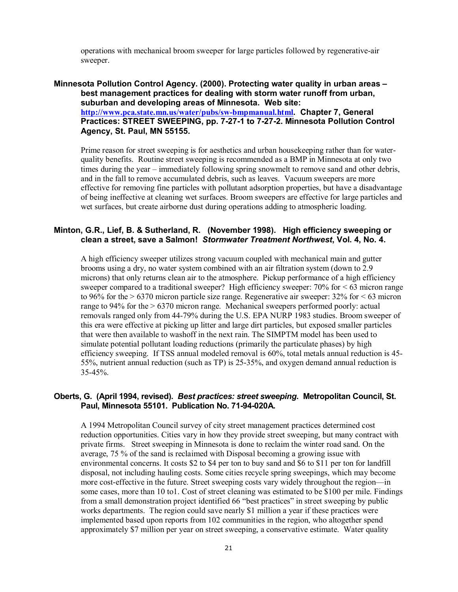operations with mechanical broom sweeper for large particles followed by regenerative-air sweeper.

**Minnesota Pollution Control Agency. (2000). Protecting water quality in urban areas – best management practices for dealing with storm water runoff from urban, suburban and developing areas of Minnesota. Web site: http://www.pca.state.mn.us/water/pubs/sw-bmpmanual.html. Chapter 7, General Practices: STREET SWEEPING, pp. 7-27-1 to 7-27-2. Minnesota Pollution Control Agency, St. Paul, MN 55155.** 

Prime reason for street sweeping is for aesthetics and urban housekeeping rather than for waterquality benefits. Routine street sweeping is recommended as a BMP in Minnesota at only two times during the year – immediately following spring snowmelt to remove sand and other debris, and in the fall to remove accumulated debris, such as leaves. Vacuum sweepers are more effective for removing fine particles with pollutant adsorption properties, but have a disadvantage of being ineffective at cleaning wet surfaces. Broom sweepers are effective for large particles and wet surfaces, but create airborne dust during operations adding to atmospheric loading.

# **Minton, G.R., Lief, B. & Sutherland, R. (November 1998). High efficiency sweeping or clean a street, save a Salmon!** *Stormwater Treatment Northwest***, Vol. 4, No. 4.**

A high efficiency sweeper utilizes strong vacuum coupled with mechanical main and gutter brooms using a dry, no water system combined with an air filtration system (down to 2.9 microns) that only returns clean air to the atmosphere. Pickup performance of a high efficiency sweeper compared to a traditional sweeper? High efficiency sweeper: 70% for < 63 micron range to 96% for the  $> 6370$  micron particle size range. Regenerative air sweeper: 32% for  $< 63$  micron range to 94% for the > 6370 micron range. Mechanical sweepers performed poorly: actual removals ranged only from 44-79% during the U.S. EPA NURP 1983 studies. Broom sweeper of this era were effective at picking up litter and large dirt particles, but exposed smaller particles that were then available to washoff in the next rain. The SIMPTM model has been used to simulate potential pollutant loading reductions (primarily the particulate phases) by high efficiency sweeping. If TSS annual modeled removal is 60%, total metals annual reduction is 45- 55%, nutrient annual reduction (such as TP) is 25-35%, and oxygen demand annual reduction is 35-45%.

#### **Oberts, G. (April 1994, revised).** *Best practices: street sweeping***. Metropolitan Council, St. Paul, Minnesota 55101. Publication No. 71-94-020A.**

A 1994 Metropolitan Council survey of city street management practices determined cost reduction opportunities. Cities vary in how they provide street sweeping, but many contract with private firms. Street sweeping in Minnesota is done to reclaim the winter road sand. On the average, 75 % of the sand is reclaimed with Disposal becoming a growing issue with environmental concerns. It costs \$2 to \$4 per ton to buy sand and \$6 to \$11 per ton for landfill disposal, not including hauling costs. Some cities recycle spring sweepings, which may become more cost-effective in the future. Street sweeping costs vary widely throughout the region—in some cases, more than 10 to1. Cost of street cleaning was estimated to be \$100 per mile. Findings from a small demonstration project identified 66 "best practices" in street sweeping by public works departments. The region could save nearly \$1 million a year if these practices were implemented based upon reports from 102 communities in the region, who altogether spend approximately \$7 million per year on street sweeping, a conservative estimate. Water quality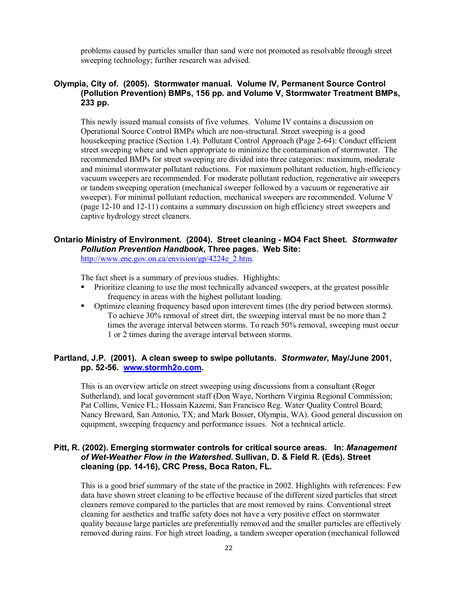problems caused by particles smaller than sand were not promoted as resolvable through street sweeping technology; further research was advised.

# **Olympia, City of. (2005). Stormwater manual. Volume IV, Permanent Source Control (Pollution Prevention) BMPs, 156 pp. and Volume V, Stormwater Treatment BMPs, 233 pp.**

This newly issued manual consists of five volumes. Volume IV contains a discussion on Operational Source Control BMPs which are non-structural. Street sweeping is a good housekeeping practice (Section 1.4). Pollutant Control Approach (Page 2-64): Conduct efficient street sweeping where and when appropriate to minimize the contamination of stormwater. The recommended BMPs for street sweeping are divided into three categories: maximum, moderate and minimal stormwater pollutant reductions. For maximum pollutant reduction, high-efficiency vacuum sweepers are recommended. For moderate pollutant reduction, regenerative air sweepers or tandem sweeping operation (mechanical sweeper followed by a vacuum or regenerative air sweeper). For minimal pollutant reduction, mechanical sweepers are recommended. Volume V (page 12-10 and 12-11) contains a summary discussion on high efficiency street sweepers and captive hydrology street cleaners.

# **Ontario Ministry of Environment. (2004). Street cleaning - MO4 Fact Sheet.** *Stormwater Pollution Prevention Handbook***, Three pages. Web Site:**

http://www.ene.gov.on.ca/envision/gp/4224e\_2.htm.

The fact sheet is a summary of previous studies. Highlights:

- Prioritize cleaning to use the most technically advanced sweepers, at the greatest possible frequency in areas with the highest pollutant loading.
- Optimize cleaning frequency based upon interevent times (the dry period between storms). To achieve 30% removal of street dirt, the sweeping interval must be no more than 2 times the average interval between storms. To reach 50% removal, sweeping must occur 1 or 2 times during the average interval between storms.

# **Partland, J.P. (2001). A clean sweep to swipe pollutants.** *Stormwater***, May/June 2001, pp. 52-56. www.stormh2o.com.**

This is an overview article on street sweeping using discussions from a consultant (Roger Sutherland), and local government staff (Don Waye, Northern Virginia Regional Commission; Pat Collins, Venice FL; Hossain Kazemi, San Francisco Reg. Water Quality Control Board; Nancy Breward, San Antonio, TX; and Mark Bosser, Olympia, WA). Good general discussion on equipment, sweeping frequency and performance issues. Not a technical article.

# **Pitt, R. (2002). Emerging stormwater controls for critical source areas. In:** *Management of Wet-Weather Flow in the Watershed***. Sullivan, D. & Field R. (Eds). Street cleaning (pp. 14-16), CRC Press, Boca Raton, FL.**

This is a good brief summary of the state of the practice in 2002. Highlights with references: Few data have shown street cleaning to be effective because of the different sized particles that street cleaners remove compared to the particles that are most removed by rains. Conventional street cleaning for aesthetics and traffic safety does not have a very positive effect on stormwater quality because large particles are preferentially removed and the smaller particles are effectively removed during rains. For high street loading, a tandem sweeper operation (mechanical followed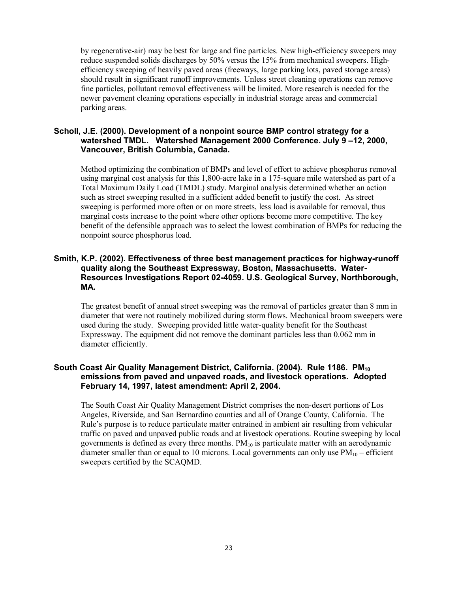by regenerative-air) may be best for large and fine particles. New high-efficiency sweepers may reduce suspended solids discharges by 50% versus the 15% from mechanical sweepers. Highefficiency sweeping of heavily paved areas (freeways, large parking lots, paved storage areas) should result in significant runoff improvements. Unless street cleaning operations can remove fine particles, pollutant removal effectiveness will be limited. More research is needed for the newer pavement cleaning operations especially in industrial storage areas and commercial parking areas.

#### **Scholl, J.E. (2000). Development of a nonpoint source BMP control strategy for a watershed TMDL. Watershed Management 2000 Conference. July 9 –12, 2000, Vancouver, British Columbia, Canada.**

Method optimizing the combination of BMPs and level of effort to achieve phosphorus removal using marginal cost analysis for this 1,800-acre lake in a 175-square mile watershed as part of a Total Maximum Daily Load (TMDL) study. Marginal analysis determined whether an action such as street sweeping resulted in a sufficient added benefit to justify the cost. As street sweeping is performed more often or on more streets, less load is available for removal, thus marginal costs increase to the point where other options become more competitive. The key benefit of the defensible approach was to select the lowest combination of BMPs for reducing the nonpoint source phosphorus load.

# **Smith, K.P. (2002). Effectiveness of three best management practices for highway-runoff quality along the Southeast Expressway, Boston, Massachusetts. Water-Resources Investigations Report 02-4059. U.S. Geological Survey, Northborough, MA.**

The greatest benefit of annual street sweeping was the removal of particles greater than 8 mm in diameter that were not routinely mobilized during storm flows. Mechanical broom sweepers were used during the study. Sweeping provided little water-quality benefit for the Southeast Expressway. The equipment did not remove the dominant particles less than 0.062 mm in diameter efficiently.

# South Coast Air Quality Management District, California. (2004). Rule 1186. PM<sub>10</sub> **emissions from paved and unpaved roads, and livestock operations. Adopted February 14, 1997, latest amendment: April 2, 2004.**

The South Coast Air Quality Management District comprises the non-desert portions of Los Angeles, Riverside, and San Bernardino counties and all of Orange County, California. The Rule's purpose is to reduce particulate matter entrained in ambient air resulting from vehicular traffic on paved and unpaved public roads and at livestock operations. Routine sweeping by local governments is defined as every three months.  $PM_{10}$  is particulate matter with an aerodynamic diameter smaller than or equal to 10 microns. Local governments can only use  $PM_{10}$  – efficient sweepers certified by the SCAQMD.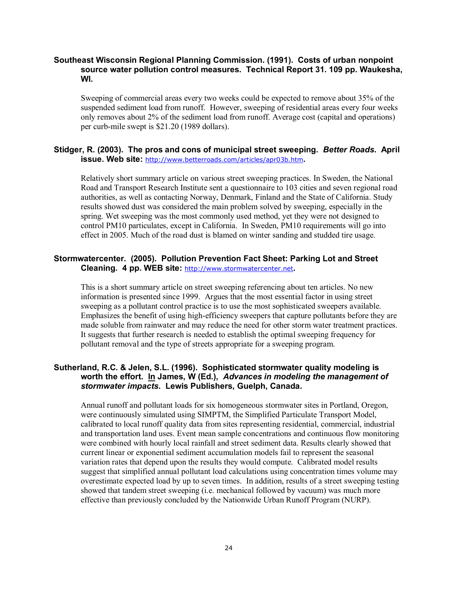# **Southeast Wisconsin Regional Planning Commission. (1991). Costs of urban nonpoint source water pollution control measures. Technical Report 31. 109 pp. Waukesha, WI.**

Sweeping of commercial areas every two weeks could be expected to remove about 35% of the suspended sediment load from runoff. However, sweeping of residential areas every four weeks only removes about 2% of the sediment load from runoff. Average cost (capital and operations) per curb-mile swept is \$21.20 (1989 dollars).

#### **Stidger, R. (2003). The pros and cons of municipal street sweeping.** *Better Roads***. April issue. Web site:** http://www.betterroads.com/articles/apr03b.htm**.**

Relatively short summary article on various street sweeping practices. In Sweden, the National Road and Transport Research Institute sent a questionnaire to 103 cities and seven regional road authorities, as well as contacting Norway, Denmark, Finland and the State of California. Study results showed dust was considered the main problem solved by sweeping, especially in the spring. Wet sweeping was the most commonly used method, yet they were not designed to control PM10 particulates, except in California. In Sweden, PM10 requirements will go into effect in 2005. Much of the road dust is blamed on winter sanding and studded tire usage.

## **Stormwatercenter. (2005). Pollution Prevention Fact Sheet: Parking Lot and Street Cleaning. 4 pp. WEB site:** http://www.stormwatercenter.net**.**

This is a short summary article on street sweeping referencing about ten articles. No new information is presented since 1999. Argues that the most essential factor in using street sweeping as a pollutant control practice is to use the most sophisticated sweepers available. Emphasizes the benefit of using high-efficiency sweepers that capture pollutants before they are made soluble from rainwater and may reduce the need for other storm water treatment practices. It suggests that further research is needed to establish the optimal sweeping frequency for pollutant removal and the type of streets appropriate for a sweeping program.

# **Sutherland, R.C. & Jelen, S.L. (1996). Sophisticated stormwater quality modeling is worth the effort. In James, W (Ed.),** *Advances in modeling the management of stormwater impacts***. Lewis Publishers, Guelph, Canada.**

Annual runoff and pollutant loads for six homogeneous stormwater sites in Portland, Oregon, were continuously simulated using SIMPTM, the Simplified Particulate Transport Model, calibrated to local runoff quality data from sites representing residential, commercial, industrial and transportation land uses. Event mean sample concentrations and continuous flow monitoring were combined with hourly local rainfall and street sediment data. Results clearly showed that current linear or exponential sediment accumulation models fail to represent the seasonal variation rates that depend upon the results they would compute. Calibrated model results suggest that simplified annual pollutant load calculations using concentration times volume may overestimate expected load by up to seven times. In addition, results of a street sweeping testing showed that tandem street sweeping (i.e. mechanical followed by vacuum) was much more effective than previously concluded by the Nationwide Urban Runoff Program (NURP).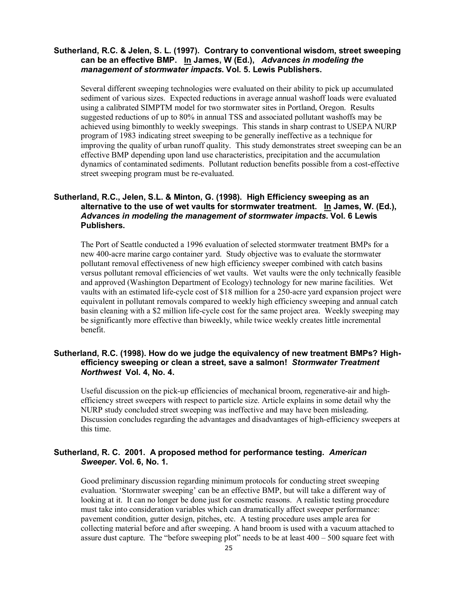#### **Sutherland, R.C. & Jelen, S. L. (1997). Contrary to conventional wisdom, street sweeping can be an effective BMP. In James, W (Ed.),** *Advances in modeling the management of stormwater impacts***. Vol. 5. Lewis Publishers.**

Several different sweeping technologies were evaluated on their ability to pick up accumulated sediment of various sizes. Expected reductions in average annual washoff loads were evaluated using a calibrated SIMPTM model for two stormwater sites in Portland, Oregon. Results suggested reductions of up to 80% in annual TSS and associated pollutant washoffs may be achieved using bimonthly to weekly sweepings. This stands in sharp contrast to USEPA NURP program of 1983 indicating street sweeping to be generally ineffective as a technique for improving the quality of urban runoff quality. This study demonstrates street sweeping can be an effective BMP depending upon land use characteristics, precipitation and the accumulation dynamics of contaminated sediments. Pollutant reduction benefits possible from a cost-effective street sweeping program must be re-evaluated.

# **Sutherland, R.C., Jelen, S.L. & Minton, G. (1998). High Efficiency sweeping as an alternative to the use of wet vaults for stormwater treatment. In James, W. (Ed.),** *Advances in modeling the management of stormwater impacts***. Vol. 6 Lewis Publishers.**

 The Port of Seattle conducted a 1996 evaluation of selected stormwater treatment BMPs for a new 400-acre marine cargo container yard. Study objective was to evaluate the stormwater pollutant removal effectiveness of new high efficiency sweeper combined with catch basins versus pollutant removal efficiencies of wet vaults. Wet vaults were the only technically feasible and approved (Washington Department of Ecology) technology for new marine facilities. Wet vaults with an estimated life-cycle cost of \$18 million for a 250-acre yard expansion project were equivalent in pollutant removals compared to weekly high efficiency sweeping and annual catch basin cleaning with a \$2 million life-cycle cost for the same project area. Weekly sweeping may be significantly more effective than biweekly, while twice weekly creates little incremental benefit.

# **Sutherland, R.C. (1998). How do we judge the equivalency of new treatment BMPs? Highefficiency sweeping or clean a street, save a salmon!** *Stormwater Treatment Northwest* **Vol. 4, No. 4.**

Useful discussion on the pick-up efficiencies of mechanical broom, regenerative-air and highefficiency street sweepers with respect to particle size. Article explains in some detail why the NURP study concluded street sweeping was ineffective and may have been misleading. Discussion concludes regarding the advantages and disadvantages of high-efficiency sweepers at this time.

# **Sutherland, R. C. 2001. A proposed method for performance testing.** *American Sweeper***. Vol. 6, No. 1.**

Good preliminary discussion regarding minimum protocols for conducting street sweeping evaluation. 'Stormwater sweeping' can be an effective BMP, but will take a different way of looking at it. It can no longer be done just for cosmetic reasons. A realistic testing procedure must take into consideration variables which can dramatically affect sweeper performance: pavement condition, gutter design, pitches, etc. A testing procedure uses ample area for collecting material before and after sweeping. A hand broom is used with a vacuum attached to assure dust capture. The "before sweeping plot" needs to be at least  $400 - 500$  square feet with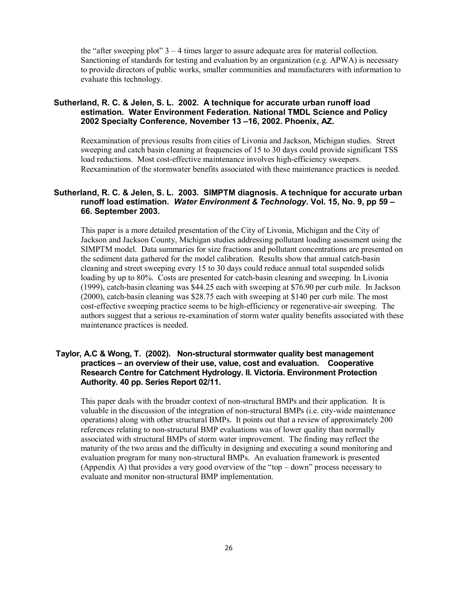the "after sweeping plot"  $3 - 4$  times larger to assure adequate area for material collection. Sanctioning of standards for testing and evaluation by an organization (e.g. APWA) is necessary to provide directors of public works, smaller communities and manufacturers with information to evaluate this technology.

# **Sutherland, R. C. & Jelen, S. L. 2002. A technique for accurate urban runoff load estimation. Water Environment Federation. National TMDL Science and Policy 2002 Specialty Conference, November 13 –16, 2002. Phoenix, AZ.**

Reexamination of previous results from cities of Livonia and Jackson, Michigan studies. Street sweeping and catch basin cleaning at frequencies of 15 to 30 days could provide significant TSS load reductions. Most cost-effective maintenance involves high-efficiency sweepers. Reexamination of the stormwater benefits associated with these maintenance practices is needed.

# **Sutherland, R. C. & Jelen, S. L. 2003. SIMPTM diagnosis. A technique for accurate urban runoff load estimation.** *Water Environment & Technology***. Vol. 15, No. 9, pp 59 – 66. September 2003.**

This paper is a more detailed presentation of the City of Livonia, Michigan and the City of Jackson and Jackson County, Michigan studies addressing pollutant loading assessment using the SIMPTM model. Data summaries for size fractions and pollutant concentrations are presented on the sediment data gathered for the model calibration. Results show that annual catch-basin cleaning and street sweeping every 15 to 30 days could reduce annual total suspended solids loading by up to 80%. Costs are presented for catch-basin cleaning and sweeping. In Livonia (1999), catch-basin cleaning was \$44.25 each with sweeping at \$76.90 per curb mile. In Jackson (2000), catch-basin cleaning was \$28.75 each with sweeping at \$140 per curb mile. The most cost-effective sweeping practice seems to be high-efficiency or regenerative-air sweeping. The authors suggest that a serious re-examination of storm water quality benefits associated with these maintenance practices is needed.

## **Taylor, A.C & Wong, T. (2002). Non-structural stormwater quality best management practices – an overview of their use, value, cost and evaluation. Cooperative Research Centre for Catchment Hydrology. II. Victoria. Environment Protection Authority. 40 pp. Series Report 02/11.**

This paper deals with the broader context of non-structural BMPs and their application. It is valuable in the discussion of the integration of non-structural BMPs (i.e. city-wide maintenance operations) along with other structural BMPs. It points out that a review of approximately 200 references relating to non-structural BMP evaluations was of lower quality than normally associated with structural BMPs of storm water improvement. The finding may reflect the maturity of the two areas and the difficulty in designing and executing a sound monitoring and evaluation program for many non-structural BMPs. An evaluation framework is presented (Appendix A) that provides a very good overview of the "top – down" process necessary to evaluate and monitor non-structural BMP implementation.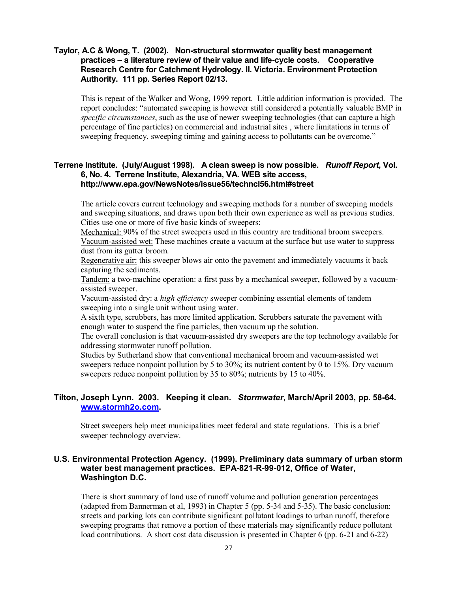# **Taylor, A.C & Wong, T. (2002). Non-structural stormwater quality best management practices – a literature review of their value and life-cycle costs. Cooperative Research Centre for Catchment Hydrology. II. Victoria. Environment Protection Authority. 111 pp. Series Report 02/13.**

This is repeat of the Walker and Wong, 1999 report. Little addition information is provided. The report concludes: "automated sweeping is however still considered a potentially valuable BMP in *specific circumstances*, such as the use of newer sweeping technologies (that can capture a high percentage of fine particles) on commercial and industrial sites , where limitations in terms of sweeping frequency, sweeping timing and gaining access to pollutants can be overcome."

# **Terrene Institute. (July/August 1998). A clean sweep is now possible.** *Runoff Report***, Vol. 6, No. 4. Terrene Institute, Alexandria, VA. WEB site access, http://www.epa.gov/NewsNotes/issue56/techncl56.html#street**

The article covers current technology and sweeping methods for a number of sweeping models and sweeping situations, and draws upon both their own experience as well as previous studies. Cities use one or more of five basic kinds of sweepers:

Mechanical: 90% of the street sweepers used in this country are traditional broom sweepers. Vacuum-assisted wet: These machines create a vacuum at the surface but use water to suppress dust from its gutter broom.

Regenerative air: this sweeper blows air onto the pavement and immediately vacuums it back capturing the sediments.

Tandem: a two-machine operation: a first pass by a mechanical sweeper, followed by a vacuumassisted sweeper.

Vacuum-assisted dry: a *high efficiency* sweeper combining essential elements of tandem sweeping into a single unit without using water.

A sixth type, scrubbers, has more limited application. Scrubbers saturate the pavement with enough water to suspend the fine particles, then vacuum up the solution.

The overall conclusion is that vacuum-assisted dry sweepers are the top technology available for addressing stormwater runoff pollution.

Studies by Sutherland show that conventional mechanical broom and vacuum-assisted wet sweepers reduce nonpoint pollution by 5 to 30%; its nutrient content by 0 to 15%. Dry vacuum sweepers reduce nonpoint pollution by 35 to 80%; nutrients by 15 to 40%.

# **Tilton, Joseph Lynn. 2003. Keeping it clean.** *Stormwater***, March/April 2003, pp. 58-64. www.stormh2o.com.**

Street sweepers help meet municipalities meet federal and state regulations. This is a brief sweeper technology overview.

#### **U.S. Environmental Protection Agency. (1999). Preliminary data summary of urban storm water best management practices. EPA-821-R-99-012, Office of Water, Washington D.C.**

There is short summary of land use of runoff volume and pollution generation percentages (adapted from Bannerman et al, 1993) in Chapter 5 (pp. 5-34 and 5-35). The basic conclusion: streets and parking lots can contribute significant pollutant loadings to urban runoff, therefore sweeping programs that remove a portion of these materials may significantly reduce pollutant load contributions. A short cost data discussion is presented in Chapter 6 (pp. 6-21 and 6-22)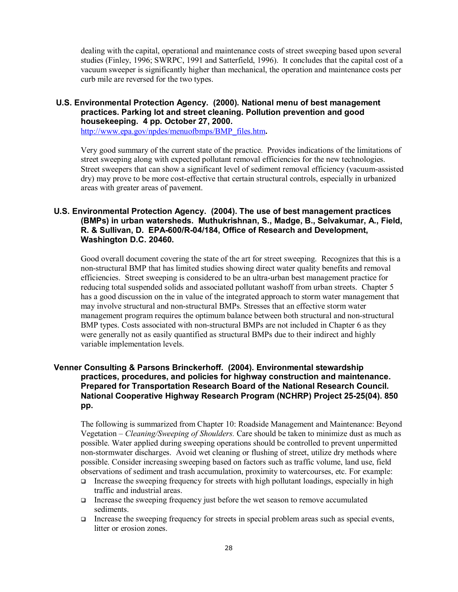dealing with the capital, operational and maintenance costs of street sweeping based upon several studies (Finley, 1996; SWRPC, 1991 and Satterfield, 1996). It concludes that the capital cost of a vacuum sweeper is significantly higher than mechanical, the operation and maintenance costs per curb mile are reversed for the two types.

# **U.S. Environmental Protection Agency. (2000). National menu of best management practices. Parking lot and street cleaning. Pollution prevention and good housekeeping. 4 pp. October 27, 2000.**

http://www.epa.gov/npdes/menuofbmps/BMP\_files.htm**.** 

Very good summary of the current state of the practice. Provides indications of the limitations of street sweeping along with expected pollutant removal efficiencies for the new technologies. Street sweepers that can show a significant level of sediment removal efficiency (vacuum-assisted dry) may prove to be more cost-effective that certain structural controls, especially in urbanized areas with greater areas of pavement.

# **U.S. Environmental Protection Agency. (2004). The use of best management practices (BMPs) in urban watersheds. Muthukrishnan, S., Madge, B., Selvakumar, A., Field, R. & Sullivan, D. EPA-600/R-04/184, Office of Research and Development, Washington D.C. 20460.**

Good overall document covering the state of the art for street sweeping. Recognizes that this is a non-structural BMP that has limited studies showing direct water quality benefits and removal efficiencies. Street sweeping is considered to be an ultra-urban best management practice for reducing total suspended solids and associated pollutant washoff from urban streets. Chapter 5 has a good discussion on the in value of the integrated approach to storm water management that may involve structural and non-structural BMPs. Stresses that an effective storm water management program requires the optimum balance between both structural and non-structural BMP types. Costs associated with non-structural BMPs are not included in Chapter 6 as they were generally not as easily quantified as structural BMPs due to their indirect and highly variable implementation levels.

# **Venner Consulting & Parsons Brinckerhoff. (2004). Environmental stewardship practices, procedures, and policies for highway construction and maintenance. Prepared for Transportation Research Board of the National Research Council. National Cooperative Highway Research Program (NCHRP) Project 25-25(04). 850 pp.**

The following is summarized from Chapter 10: Roadside Management and Maintenance: Beyond Vegetation – *Cleaning/Sweeping of Shoulders.* Care should be taken to minimize dust as much as possible. Water applied during sweeping operations should be controlled to prevent unpermitted non-stormwater discharges. Avoid wet cleaning or flushing of street, utilize dry methods where possible. Consider increasing sweeping based on factors such as traffic volume, land use, field observations of sediment and trash accumulation, proximity to watercourses, etc. For example:

- Increase the sweeping frequency for streets with high pollutant loadings, especially in high traffic and industrial areas.
- Increase the sweeping frequency just before the wet season to remove accumulated sediments.
- Increase the sweeping frequency for streets in special problem areas such as special events, litter or erosion zones.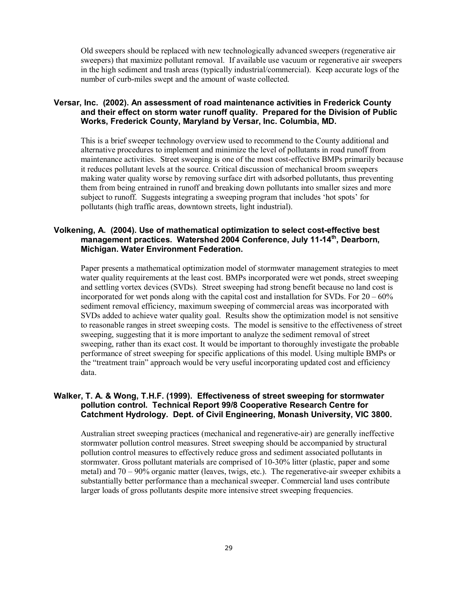Old sweepers should be replaced with new technologically advanced sweepers (regenerative air sweepers) that maximize pollutant removal. If available use vacuum or regenerative air sweepers in the high sediment and trash areas (typically industrial/commercial). Keep accurate logs of the number of curb-miles swept and the amount of waste collected.

# **Versar, Inc. (2002). An assessment of road maintenance activities in Frederick County and their effect on storm water runoff quality. Prepared for the Division of Public Works, Frederick County, Maryland by Versar, Inc. Columbia, MD.**

This is a brief sweeper technology overview used to recommend to the County additional and alternative procedures to implement and minimize the level of pollutants in road runoff from maintenance activities. Street sweeping is one of the most cost-effective BMPs primarily because it reduces pollutant levels at the source. Critical discussion of mechanical broom sweepers making water quality worse by removing surface dirt with adsorbed pollutants, thus preventing them from being entrained in runoff and breaking down pollutants into smaller sizes and more subject to runoff. Suggests integrating a sweeping program that includes 'hot spots' for pollutants (high traffic areas, downtown streets, light industrial).

# **Volkening, A. (2004). Use of mathematical optimization to select cost-effective best management practices. Watershed 2004 Conference, July 11-14th, Dearborn, Michigan. Water Environment Federation.**

Paper presents a mathematical optimization model of stormwater management strategies to meet water quality requirements at the least cost. BMPs incorporated were wet ponds, street sweeping and settling vortex devices (SVDs). Street sweeping had strong benefit because no land cost is incorporated for wet ponds along with the capital cost and installation for SVDs. For  $20 - 60\%$ sediment removal efficiency, maximum sweeping of commercial areas was incorporated with SVDs added to achieve water quality goal. Results show the optimization model is not sensitive to reasonable ranges in street sweeping costs. The model is sensitive to the effectiveness of street sweeping, suggesting that it is more important to analyze the sediment removal of street sweeping, rather than its exact cost. It would be important to thoroughly investigate the probable performance of street sweeping for specific applications of this model. Using multiple BMPs or the "treatment train" approach would be very useful incorporating updated cost and efficiency data.

# **Walker, T. A. & Wong, T.H.F. (1999). Effectiveness of street sweeping for stormwater pollution control. Technical Report 99/8 Cooperative Research Centre for Catchment Hydrology. Dept. of Civil Engineering, Monash University, VIC 3800.**

Australian street sweeping practices (mechanical and regenerative-air) are generally ineffective stormwater pollution control measures. Street sweeping should be accompanied by structural pollution control measures to effectively reduce gross and sediment associated pollutants in stormwater. Gross pollutant materials are comprised of 10-30% litter (plastic, paper and some metal) and 70 – 90% organic matter (leaves, twigs, etc.). The regenerative-air sweeper exhibits a substantially better performance than a mechanical sweeper. Commercial land uses contribute larger loads of gross pollutants despite more intensive street sweeping frequencies.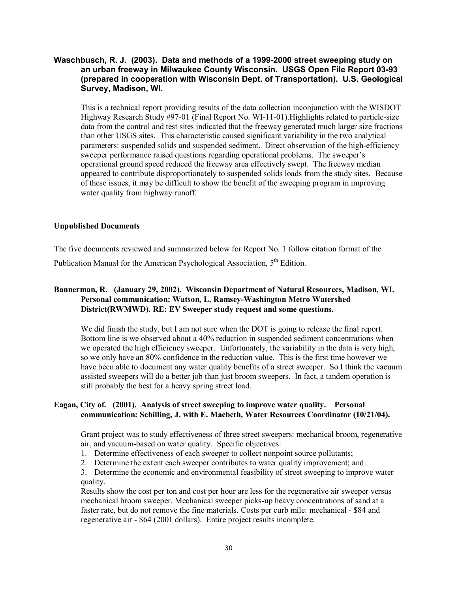# **Waschbusch, R. J. (2003). Data and methods of a 1999-2000 street sweeping study on an urban freeway in Milwaukee County Wisconsin. USGS Open File Report 03-93 (prepared in cooperation with Wisconsin Dept. of Transportation). U.S. Geological Survey, Madison, WI.**

This is a technical report providing results of the data collection inconjunction with the WISDOT Highway Research Study #97-01 (Final Report No. WI-11-01).Highlights related to particle-size data from the control and test sites indicated that the freeway generated much larger size fractions than other USGS sites. This characteristic caused significant variability in the two analytical parameters: suspended solids and suspended sediment. Direct observation of the high-efficiency sweeper performance raised questions regarding operational problems. The sweeper's operational ground speed reduced the freeway area effectively swept. The freeway median appeared to contribute disproportionately to suspended solids loads from the study sites. Because of these issues, it may be difficult to show the benefit of the sweeping program in improving water quality from highway runoff.

#### **Unpublished Documents**

The five documents reviewed and summarized below for Report No. 1 follow citation format of the

Publication Manual for the American Psychological Association,  $5<sup>th</sup>$  Edition.

# **Bannerman, R. (January 29, 2002). Wisconsin Department of Natural Resources, Madison, WI. Personal communication: Watson, L. Ramsey-Washington Metro Watershed District(RWMWD). RE: EV Sweeper study request and some questions.**

We did finish the study, but I am not sure when the DOT is going to release the final report. Bottom line is we observed about a 40% reduction in suspended sediment concentrations when we operated the high efficiency sweeper. Unfortunately, the variability in the data is very high, so we only have an 80% confidence in the reduction value. This is the first time however we have been able to document any water quality benefits of a street sweeper. So I think the vacuum assisted sweepers will do a better job than just broom sweepers. In fact, a tandem operation is still probably the best for a heavy spring street load.

# **Eagan, City of. (2001). Analysis of street sweeping to improve water quality. Personal communication: Schilling, J. with E. Macbeth, Water Resources Coordinator (10/21/04).**

Grant project was to study effectiveness of three street sweepers: mechanical broom, regenerative air, and vacuum-based on water quality. Specific objectives:

- 1. Determine effectiveness of each sweeper to collect nonpoint source pollutants;
- 2. Determine the extent each sweeper contributes to water quality improvement; and

3. Determine the economic and environmental feasibility of street sweeping to improve water quality.

Results show the cost per ton and cost per hour are less for the regenerative air sweeper versus mechanical broom sweeper. Mechanical sweeper picks-up heavy concentrations of sand at a faster rate, but do not remove the fine materials. Costs per curb mile: mechanical - \$84 and regenerative air - \$64 (2001 dollars). Entire project results incomplete.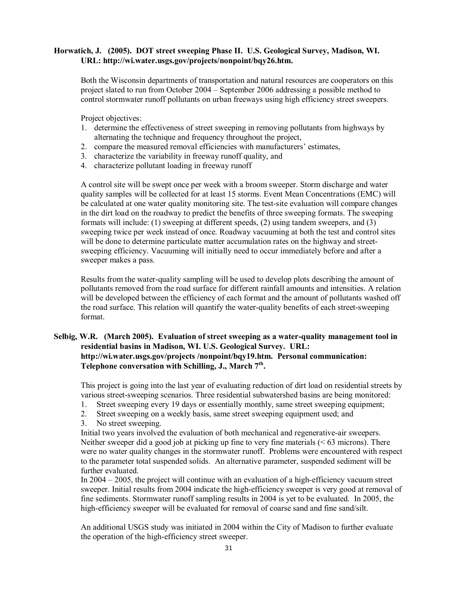#### **Horwatich, J. (2005). DOT street sweeping Phase II. U.S. Geological Survey, Madison, WI. URL: http://wi.water.usgs.gov/projects/nonpoint/bqy26.htm.**

Both the Wisconsin departments of transportation and natural resources are cooperators on this project slated to run from October 2004 – September 2006 addressing a possible method to control stormwater runoff pollutants on urban freeways using high efficiency street sweepers.

Project objectives:

- 1. determine the effectiveness of street sweeping in removing pollutants from highways by alternating the technique and frequency throughout the project,
- 2. compare the measured removal efficiencies with manufacturers' estimates,
- 3. characterize the variability in freeway runoff quality, and
- 4. characterize pollutant loading in freeway runoff

A control site will be swept once per week with a broom sweeper. Storm discharge and water quality samples will be collected for at least 15 storms. Event Mean Concentrations (EMC) will be calculated at one water quality monitoring site. The test-site evaluation will compare changes in the dirt load on the roadway to predict the benefits of three sweeping formats. The sweeping formats will include: (1) sweeping at different speeds, (2) using tandem sweepers, and (3) sweeping twice per week instead of once. Roadway vacuuming at both the test and control sites will be done to determine particulate matter accumulation rates on the highway and streetsweeping efficiency. Vacuuming will initially need to occur immediately before and after a sweeper makes a pass.

Results from the water-quality sampling will be used to develop plots describing the amount of pollutants removed from the road surface for different rainfall amounts and intensities. A relation will be developed between the efficiency of each format and the amount of pollutants washed off the road surface. This relation will quantify the water-quality benefits of each street-sweeping format.

# **Selbig, W.R. (March 2005). Evaluation of street sweeping as a water-quality management tool in residential basins in Madison, WI. U.S. Geological Survey. URL: http://wi.water.usgs.gov/projects /nonpoint/bqy19.htm. Personal communication:**  Telephone conversation with Schilling, J., March 7<sup>th</sup>.

This project is going into the last year of evaluating reduction of dirt load on residential streets by various street-sweeping scenarios. Three residential subwatershed basins are being monitored:

- 1. Street sweeping every 19 days or essentially monthly, same street sweeping equipment;
- 2. Street sweeping on a weekly basis, same street sweeping equipment used; and
- 3. No street sweeping.

Initial two years involved the evaluation of both mechanical and regenerative-air sweepers. Neither sweeper did a good job at picking up fine to very fine materials ( $\leq 63$  microns). There were no water quality changes in the stormwater runoff. Problems were encountered with respect to the parameter total suspended solids. An alternative parameter, suspended sediment will be further evaluated.

In 2004 – 2005, the project will continue with an evaluation of a high-efficiency vacuum street sweeper. Initial results from 2004 indicate the high-efficiency sweeper is very good at removal of fine sediments. Stormwater runoff sampling results in 2004 is yet to be evaluated. In 2005, the high-efficiency sweeper will be evaluated for removal of coarse sand and fine sand/silt.

An additional USGS study was initiated in 2004 within the City of Madison to further evaluate the operation of the high-efficiency street sweeper.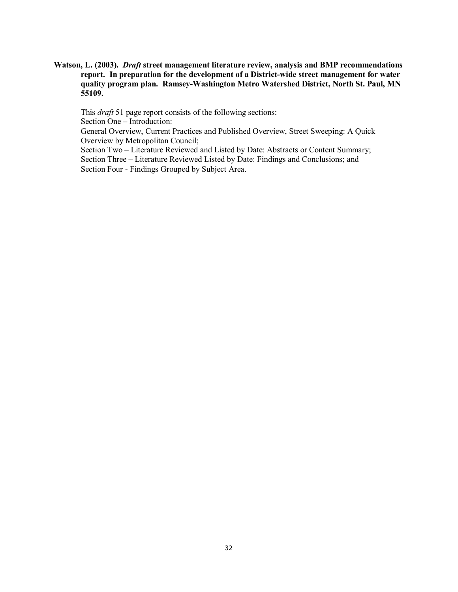**Watson, L. (2003).** *Draft* **street management literature review, analysis and BMP recommendations report. In preparation for the development of a District-wide street management for water quality program plan. Ramsey-Washington Metro Watershed District, North St. Paul, MN 55109.** 

This *draft* 51 page report consists of the following sections:

Section One – Introduction:

 General Overview, Current Practices and Published Overview, Street Sweeping: A Quick Overview by Metropolitan Council;

Section Two – Literature Reviewed and Listed by Date: Abstracts or Content Summary; Section Three – Literature Reviewed Listed by Date: Findings and Conclusions; and Section Four - Findings Grouped by Subject Area.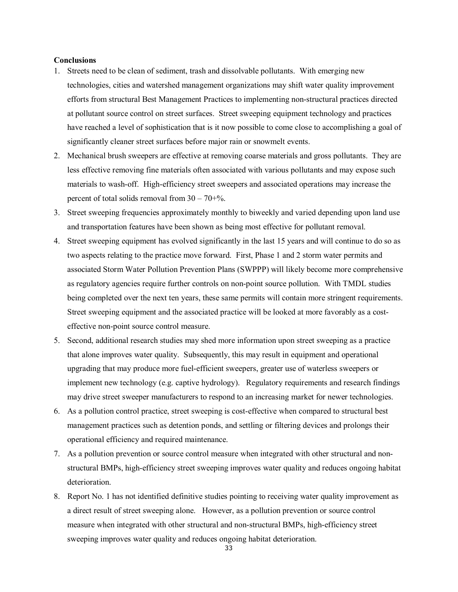#### **Conclusions**

- 1. Streets need to be clean of sediment, trash and dissolvable pollutants. With emerging new technologies, cities and watershed management organizations may shift water quality improvement efforts from structural Best Management Practices to implementing non-structural practices directed at pollutant source control on street surfaces. Street sweeping equipment technology and practices have reached a level of sophistication that is it now possible to come close to accomplishing a goal of significantly cleaner street surfaces before major rain or snowmelt events.
- 2. Mechanical brush sweepers are effective at removing coarse materials and gross pollutants. They are less effective removing fine materials often associated with various pollutants and may expose such materials to wash-off. High-efficiency street sweepers and associated operations may increase the percent of total solids removal from  $30 - 70 + %$ .
- 3. Street sweeping frequencies approximately monthly to biweekly and varied depending upon land use and transportation features have been shown as being most effective for pollutant removal.
- 4. Street sweeping equipment has evolved significantly in the last 15 years and will continue to do so as two aspects relating to the practice move forward. First, Phase 1 and 2 storm water permits and associated Storm Water Pollution Prevention Plans (SWPPP) will likely become more comprehensive as regulatory agencies require further controls on non-point source pollution. With TMDL studies being completed over the next ten years, these same permits will contain more stringent requirements. Street sweeping equipment and the associated practice will be looked at more favorably as a costeffective non-point source control measure.
- 5. Second, additional research studies may shed more information upon street sweeping as a practice that alone improves water quality. Subsequently, this may result in equipment and operational upgrading that may produce more fuel-efficient sweepers, greater use of waterless sweepers or implement new technology (e.g. captive hydrology). Regulatory requirements and research findings may drive street sweeper manufacturers to respond to an increasing market for newer technologies.
- 6. As a pollution control practice, street sweeping is cost-effective when compared to structural best management practices such as detention ponds, and settling or filtering devices and prolongs their operational efficiency and required maintenance.
- 7. As a pollution prevention or source control measure when integrated with other structural and nonstructural BMPs, high-efficiency street sweeping improves water quality and reduces ongoing habitat deterioration.
- 8. Report No. 1 has not identified definitive studies pointing to receiving water quality improvement as a direct result of street sweeping alone. However, as a pollution prevention or source control measure when integrated with other structural and non-structural BMPs, high-efficiency street sweeping improves water quality and reduces ongoing habitat deterioration.

33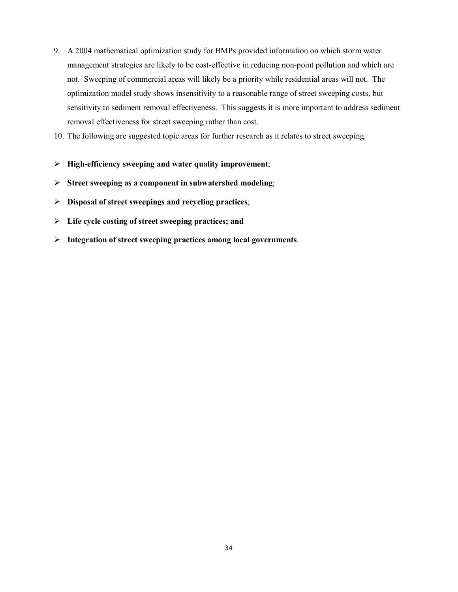- 9. A 2004 mathematical optimization study for BMPs provided information on which storm water management strategies are likely to be cost-effective in reducing non-point pollution and which are not. Sweeping of commercial areas will likely be a priority while residential areas will not. The optimization model study shows insensitivity to a reasonable range of street sweeping costs, but sensitivity to sediment removal effectiveness. This suggests it is more important to address sediment removal effectiveness for street sweeping rather than cost.
- 10. The following are suggested topic areas for further research as it relates to street sweeping.
- ¾ **High-efficiency sweeping and water quality improvement**;
- ¾ **Street sweeping as a component in subwatershed modeling**;
- ¾ **Disposal of street sweepings and recycling practices**;
- ¾ **Life cycle costing of street sweeping practices; and**
- ¾ **Integration of street sweeping practices among local governments**.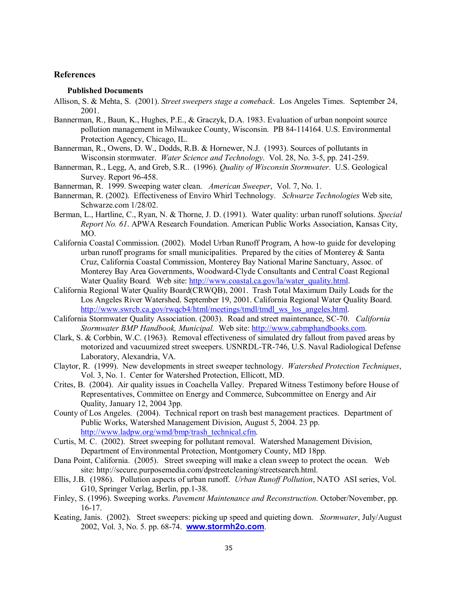#### **References**

#### **Published Documents**

- Allison, S. & Mehta, S. (2001). *Street sweepers stage a comeback*. Los Angeles Times. September 24, 2001.
- Bannerman, R., Baun, K., Hughes, P.E., & Graczyk, D.A. 1983. Evaluation of urban nonpoint source pollution management in Milwaukee County, Wisconsin. PB 84-114164. U.S. Environmental Protection Agency, Chicago, IL.
- Bannerman, R., Owens, D. W., Dodds, R.B. & Hornewer, N.J. (1993). Sources of pollutants in Wisconsin stormwater. *Water Science and Technology*. Vol. 28, No. 3-5, pp. 241-259.
- Bannerman, R., Legg, A, and Greb, S.R.. (1996). *Quality of Wisconsin Stormwater*. U.S. Geological Survey. Report 96-458.
- Bannerman, R. 1999. Sweeping water clean. *American Sweeper*, Vol. 7, No. 1.
- Bannerman, R. (2002). Effectiveness of Enviro Whirl Technology. *Schwarze Technologies* Web site, Schwarze.com 1/28/02.
- Berman, L., Hartline, C., Ryan, N. & Thorne, J. D. (1991). Water quality: urban runoff solutions. *Special Report No. 61*. APWA Research Foundation. American Public Works Association, Kansas City, MO.
- California Coastal Commission. (2002). Model Urban Runoff Program, A how-to guide for developing urban runoff programs for small municipalities. Prepared by the cities of Monterey & Santa Cruz, California Coastal Commission, Monterey Bay National Marine Sanctuary, Assoc. of Monterey Bay Area Governments, Woodward-Clyde Consultants and Central Coast Regional Water Quality Board*.* Web site: http://www.coastal.ca.gov/la/water\_quality.html.
- California Regional Water Quality Board(CRWQB), 2001. Trash Total Maximum Daily Loads for the Los Angeles River Watershed. September 19, 2001. California Regional Water Quality Board. http://www.swrcb.ca.gov/rwqcb4/html/meetings/tmdl/tmdl\_ws\_los\_angeles.html.
- California Stormwater Quality Association. (2003). Road and street maintenance, SC-70. *California Stormwater BMP Handbook, Municipal.* Web site: http://www.cabmphandbooks.com.
- Clark, S. & Corbbin, W.C. (1963). Removal effectiveness of simulated dry fallout from paved areas by motorized and vacuumized street sweepers. USNRDL-TR-746, U.S. Naval Radiological Defense Laboratory, Alexandria, VA.
- Claytor, R. (1999). New developments in street sweeper technology. *Watershed Protection Techniques*, Vol. 3, No. 1. Center for Watershed Protection, Ellicott, MD.
- Crites, B. (2004). Air quality issues in Coachella Valley. Prepared Witness Testimony before House of Representatives, Committee on Energy and Commerce, Subcommittee on Energy and Air Quality, January 12, 2004 3pp.
- County of Los Angeles. (2004). Technical report on trash best management practices. Department of Public Works, Watershed Management Division, August 5, 2004. 23 pp. http://www.ladpw.org/wmd/bmp/trash\_technical.cfm.
- Curtis, M. C. (2002). Street sweeping for pollutant removal. Watershed Management Division, Department of Environmental Protection, Montgomery County, MD 18pp.
- Dana Point, California. (2005). Street sweeping will make a clean sweep to protect the ocean. Web site: http://secure.purposemedia.com/dpstreetcleaning/streetsearch.html.
- Ellis, J.B. (1986). Pollution aspects of urban runoff. *Urban Runoff Pollution*, NATO ASI series, Vol. G10, Springer Verlag, Berlin, pp.1-38.
- Finley, S. (1996). Sweeping works. *Pavement Maintenance and Reconstruction*. October/November, pp. 16-17.
- Keating, Janis. (2002). Street sweepers: picking up speed and quieting down. *Stormwater*, July/August 2002, Vol. 3, No. 5. pp. 68-74. **www.stormh2o.com**.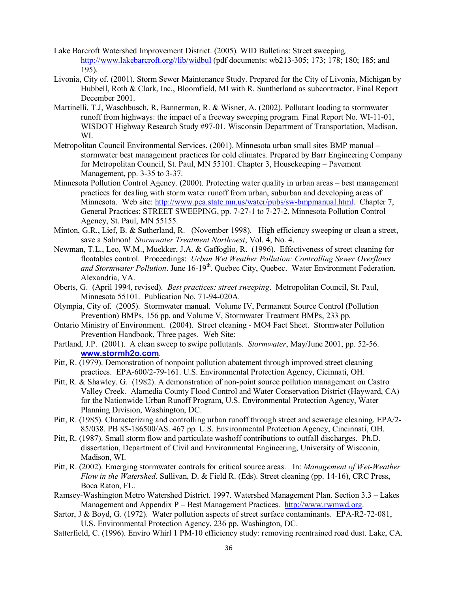- Lake Barcroft Watershed Improvement District. (2005). WID Bulletins: Street sweeping. http://www.lakebarcroft.org//lib/widbul (pdf documents: wb213-305; 173; 178; 180; 185; and 195).
- Livonia, City of. (2001). Storm Sewer Maintenance Study. Prepared for the City of Livonia, Michigan by Hubbell, Roth & Clark, Inc., Bloomfield, MI with R. Suntherland as subcontractor. Final Report December 2001.
- Martinelli, T.J, Waschbusch, R, Bannerman, R. & Wisner, A. (2002). Pollutant loading to stormwater runoff from highways: the impact of a freeway sweeping program. Final Report No. WI-11-01, WISDOT Highway Research Study #97-01. Wisconsin Department of Transportation, Madison, WI.
- Metropolitan Council Environmental Services. (2001). Minnesota urban small sites BMP manual stormwater best management practices for cold climates. Prepared by Barr Engineering Company for Metropolitan Council, St. Paul, MN 55101. Chapter 3, Housekeeping – Pavement Management, pp. 3-35 to 3-37.
- Minnesota Pollution Control Agency. (2000). Protecting water quality in urban areas best management practices for dealing with storm water runoff from urban, suburban and developing areas of Minnesota. Web site: http://www.pca.state.mn.us/water/pubs/sw-bmpmanual.html. Chapter 7, General Practices: STREET SWEEPING, pp. 7-27-1 to 7-27-2. Minnesota Pollution Control Agency, St. Paul, MN 55155.
- Minton, G.R., Lief, B. & Sutherland, R. (November 1998). High efficiency sweeping or clean a street, save a Salmon! *Stormwater Treatment Northwest*, Vol. 4, No. 4.
- Newman, T.L., Leo, W.M., Muekker, J.A. & Gaffoglio, R. (1996). Effectiveness of street cleaning for floatables control. Proceedings: *Urban Wet Weather Pollution: Controlling Sewer Overflows*  and Stormwater Pollution. June 16-19<sup>th</sup>. Quebec City, Quebec. Water Environment Federation. Alexandria, VA.
- Oberts, G. (April 1994, revised). *Best practices: street sweeping*. Metropolitan Council, St. Paul, Minnesota 55101. Publication No. 71-94-020A.
- Olympia, City of. (2005). Stormwater manual. Volume IV, Permanent Source Control (Pollution Prevention) BMPs, 156 pp. and Volume V, Stormwater Treatment BMPs, 233 pp.
- Ontario Ministry of Environment. (2004). Street cleaning MO4 Fact Sheet. Stormwater Pollution Prevention Handbook, Three pages. Web Site:
- Partland, J.P. (2001). A clean sweep to swipe pollutants. *Stormwater*, May/June 2001, pp. 52-56. **www.stormh2o.com**.
- Pitt, R. (1979). Demonstration of nonpoint pollution abatement through improved street cleaning practices. EPA-600/2-79-161. U.S. Environmental Protection Agency, Cicinnati, OH.
- Pitt, R. & Shawley. G. (1982). A demonstration of non-point source pollution management on Castro Valley Creek. Alamedia County Flood Control and Water Conservation District (Hayward, CA) for the Nationwide Urban Runoff Program, U.S. Environmental Protection Agency, Water Planning Division, Washington, DC.
- Pitt, R. (1985). Characterizing and controlling urban runoff through street and sewerage cleaning. EPA/2- 85/038. PB 85-186500/AS. 467 pp. U.S. Environmental Protection Agency, Cincinnati, OH.
- Pitt, R. (1987). Small storm flow and particulate washoff contributions to outfall discharges. Ph.D. dissertation, Department of Civil and Environmental Engineering, University of Wisconin, Madison, WI.
- Pitt, R. (2002). Emerging stormwater controls for critical source areas. In: *Management of Wet-Weather Flow in the Watershed*. Sullivan, D. & Field R. (Eds). Street cleaning (pp. 14-16), CRC Press, Boca Raton, FL.
- Ramsey-Washington Metro Watershed District. 1997. Watershed Management Plan. Section 3.3 Lakes Management and Appendix  $P - Best$  Management Practices. http://www.rwmwd.org.
- Sartor, J & Boyd, G. (1972). Water pollution aspects of street surface contaminants. EPA-R2-72-081, U.S. Environmental Protection Agency, 236 pp. Washington, DC.
- Satterfield, C. (1996). Enviro Whirl 1 PM-10 efficiency study: removing reentrained road dust. Lake, CA.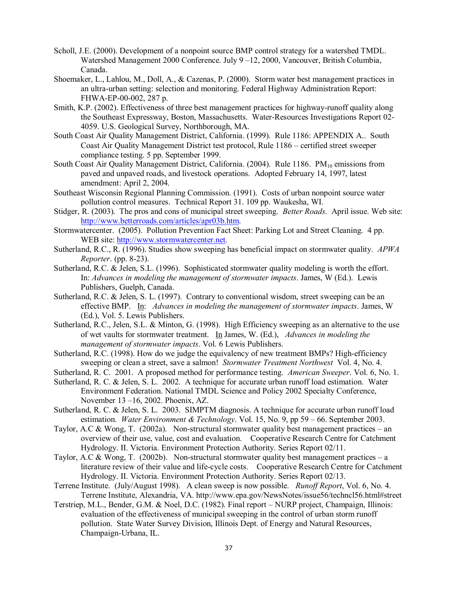- Scholl, J.E. (2000). Development of a nonpoint source BMP control strategy for a watershed TMDL. Watershed Management 2000 Conference. July 9 –12, 2000, Vancouver, British Columbia, Canada.
- Shoemaker, L., Lahlou, M., Doll, A., & Cazenas, P. (2000). Storm water best management practices in an ultra-urban setting: selection and monitoring. Federal Highway Administration Report: FHWA-EP-00-002, 287 p.
- Smith, K.P. (2002). Effectiveness of three best management practices for highway-runoff quality along the Southeast Expressway, Boston, Massachusetts. Water-Resources Investigations Report 02- 4059. U.S. Geological Survey, Northborough, MA.
- South Coast Air Quality Management District, California. (1999). Rule 1186: APPENDIX A.. South Coast Air Quality Management District test protocol, Rule 1186 – certified street sweeper compliance testing. 5 pp. September 1999.
- South Coast Air Quality Management District, California. (2004). Rule 1186. PM<sub>10</sub> emissions from paved and unpaved roads, and livestock operations. Adopted February 14, 1997, latest amendment: April 2, 2004.
- Southeast Wisconsin Regional Planning Commission. (1991). Costs of urban nonpoint source water pollution control measures. Technical Report 31. 109 pp. Waukesha, WI.
- Stidger, R. (2003). The pros and cons of municipal street sweeping. *Better Roads*. April issue. Web site: http://www.betterroads.com/articles/apr03b.htm.
- Stormwatercenter. (2005). Pollution Prevention Fact Sheet: Parking Lot and Street Cleaning. 4 pp. WEB site: http://www.stormwatercenter.net.
- Sutherland, R.C., R. (1996). Studies show sweeping has beneficial impact on stormwater quality. *APWA Reporter*. (pp. 8-23).
- Sutherland, R.C. & Jelen, S.L. (1996). Sophisticated stormwater quality modeling is worth the effort. In: *Advances in modeling the management of stormwater impacts*. James, W (Ed.). Lewis Publishers, Guelph, Canada.
- Sutherland, R.C. & Jelen, S. L. (1997). Contrary to conventional wisdom, street sweeping can be an effective BMP. In: *Advances in modeling the management of stormwater impacts*. James, W (Ed.), Vol. 5. Lewis Publishers.
- Sutherland, R.C., Jelen, S.L. & Minton, G. (1998). High Efficiency sweeping as an alternative to the use of wet vaults for stormwater treatment. In James, W. (Ed.), *Advances in modeling the management of stormwater impacts*. Vol. 6 Lewis Publishers.
- Sutherland, R.C. (1998). How do we judge the equivalency of new treatment BMPs? High-efficiency sweeping or clean a street, save a salmon!*Stormwater Treatment Northwest* Vol. 4, No. 4.
- Sutherland, R. C. 2001. A proposed method for performance testing. *American Sweeper*. Vol. 6, No. 1.
- Sutherland, R. C. & Jelen, S. L. 2002. A technique for accurate urban runoff load estimation. Water Environment Federation. National TMDL Science and Policy 2002 Specialty Conference, November 13 –16, 2002. Phoenix, AZ.
- Sutherland, R. C. & Jelen, S. L. 2003. SIMPTM diagnosis. A technique for accurate urban runoff load estimation. *Water Environment & Technology*. Vol. 15, No. 9, pp 59 – 66. September 2003.
- Taylor, A.C & Wong, T. (2002a). Non-structural stormwater quality best management practices an overview of their use, value, cost and evaluation. Cooperative Research Centre for Catchment Hydrology. II. Victoria. Environment Protection Authority. Series Report 02/11.
- Taylor, A.C & Wong, T. (2002b). Non-structural stormwater quality best management practices a literature review of their value and life-cycle costs. Cooperative Research Centre for Catchment Hydrology. II. Victoria. Environment Protection Authority. Series Report 02/13.
- Terrene Institute. (July/August 1998). A clean sweep is now possible. *Runoff Report*, Vol. 6, No. 4. Terrene Institute, Alexandria, VA. http://www.epa.gov/NewsNotes/issue56/techncl56.html#street
- Terstriep, M.L., Bender, G.M. & Noel, D.C. (1982). Final report NURP project, Champaign, Illinois: evaluation of the effectiveness of municipal sweeping in the control of urban storm runoff pollution. State Water Survey Division, Illinois Dept. of Energy and Natural Resources, Champaign-Urbana, IL.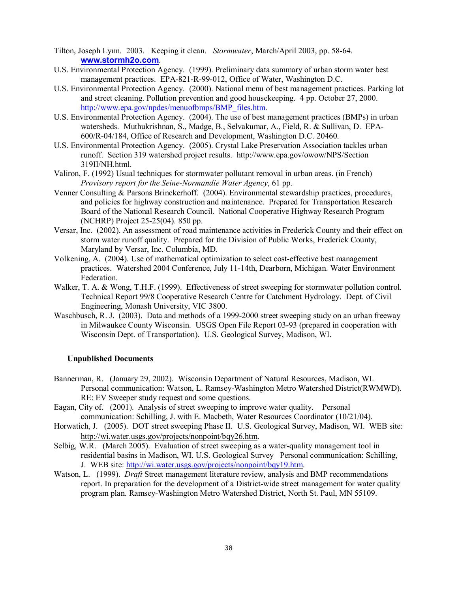- Tilton, Joseph Lynn. 2003. Keeping it clean. *Stormwater*, March/April 2003, pp. 58-64. **www.stormh2o.com**.
- U.S. Environmental Protection Agency. (1999). Preliminary data summary of urban storm water best management practices. EPA-821-R-99-012, Office of Water, Washington D.C.
- U.S. Environmental Protection Agency. (2000). National menu of best management practices. Parking lot and street cleaning. Pollution prevention and good housekeeping. 4 pp. October 27, 2000. http://www.epa.gov/npdes/menuofbmps/BMP\_files.htm.
- U.S. Environmental Protection Agency. (2004). The use of best management practices (BMPs) in urban watersheds. Muthukrishnan, S., Madge, B., Selvakumar, A., Field, R. & Sullivan, D. EPA-600/R-04/184, Office of Research and Development, Washington D.C. 20460.
- U.S. Environmental Protection Agency. (2005). Crystal Lake Preservation Association tackles urban runoff. Section 319 watershed project results. http://www.epa.gov/owow/NPS/Section 319II/NH.html.
- Valiron, F. (1992) Usual techniques for stormwater pollutant removal in urban areas. (in French) *Provisory report for the Seine-Normandie Water Agency*, 61 pp.
- Venner Consulting & Parsons Brinckerhoff. (2004). Environmental stewardship practices, procedures, and policies for highway construction and maintenance. Prepared for Transportation Research Board of the National Research Council. National Cooperative Highway Research Program (NCHRP) Project 25-25(04). 850 pp.
- Versar, Inc. (2002). An assessment of road maintenance activities in Frederick County and their effect on storm water runoff quality. Prepared for the Division of Public Works, Frederick County, Maryland by Versar, Inc. Columbia, MD.
- Volkening, A. (2004). Use of mathematical optimization to select cost-effective best management practices. Watershed 2004 Conference, July 11-14th, Dearborn, Michigan. Water Environment Federation.
- Walker, T. A. & Wong, T.H.F. (1999). Effectiveness of street sweeping for stormwater pollution control. Technical Report 99/8 Cooperative Research Centre for Catchment Hydrology. Dept. of Civil Engineering, Monash University, VIC 3800.
- Waschbusch, R. J. (2003). Data and methods of a 1999-2000 street sweeping study on an urban freeway in Milwaukee County Wisconsin. USGS Open File Report 03-93 (prepared in cooperation with Wisconsin Dept. of Transportation). U.S. Geological Survey, Madison, WI.

#### **Unpublished Documents**

- Bannerman, R. (January 29, 2002). Wisconsin Department of Natural Resources, Madison, WI. Personal communication: Watson, L. Ramsey-Washington Metro Watershed District(RWMWD). RE: EV Sweeper study request and some questions.
- Eagan, City of. (2001). Analysis of street sweeping to improve water quality. Personal communication: Schilling, J. with E. Macbeth, Water Resources Coordinator (10/21/04).
- Horwatich, J. (2005). DOT street sweeping Phase II. U.S. Geological Survey, Madison, WI. WEB site: http://wi.water.usgs.gov/projects/nonpoint/bqy26.htm.
- Selbig, W.R. (March 2005). Evaluation of street sweeping as a water-quality management tool in residential basins in Madison, WI. U.S. Geological Survey Personal communication: Schilling, J. WEB site: http://wi.water.usgs.gov/projects/nonpoint/bqy19.htm.
- Watson, L. (1999). *Draft* Street management literature review, analysis and BMP recommendations report. In preparation for the development of a District-wide street management for water quality program plan. Ramsey-Washington Metro Watershed District, North St. Paul, MN 55109.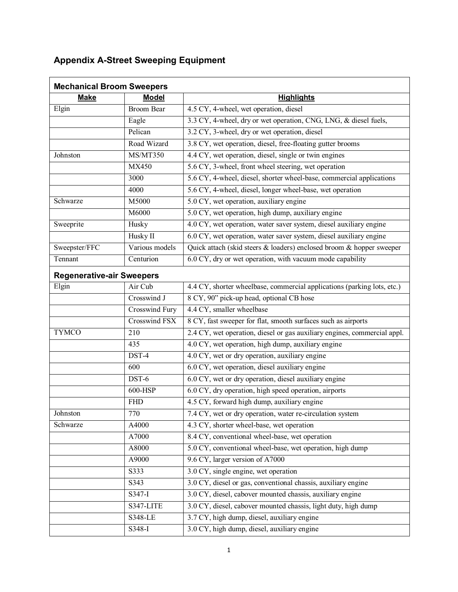# **Appendix A-Street Sweeping Equipment**

| <b>Mechanical Broom Sweepers</b> |                   |                                                                          |
|----------------------------------|-------------------|--------------------------------------------------------------------------|
| <b>Make</b>                      | <b>Model</b>      | <b>Highlights</b>                                                        |
| Elgin                            | <b>Broom Bear</b> | 4.5 CY, 4-wheel, wet operation, diesel                                   |
|                                  | Eagle             | 3.3 CY, 4-wheel, dry or wet operation, CNG, LNG, & diesel fuels,         |
|                                  | Pelican           | 3.2 CY, 3-wheel, dry or wet operation, diesel                            |
|                                  | Road Wizard       | 3.8 CY, wet operation, diesel, free-floating gutter brooms               |
| Johnston                         | MS/MT350          | 4.4 CY, wet operation, diesel, single or twin engines                    |
|                                  | MX450             | 5.6 CY, 3-wheel, front wheel steering, wet operation                     |
|                                  | 3000              | 5.6 CY, 4-wheel, diesel, shorter wheel-base, commercial applications     |
|                                  | 4000              | 5.6 CY, 4-wheel, diesel, longer wheel-base, wet operation                |
| Schwarze                         | M5000             | 5.0 CY, wet operation, auxiliary engine                                  |
|                                  | M6000             | 5.0 CY, wet operation, high dump, auxiliary engine                       |
| Sweeprite                        | Husky             | 4.0 CY, wet operation, water saver system, diesel auxiliary engine       |
|                                  | Husky II          | 6.0 CY, wet operation, water saver system, diesel auxiliary engine       |
| Sweepster/FFC                    | Various models    | Quick attach (skid steers & loaders) enclosed broom & hopper sweeper     |
| Tennant                          | Centurion         | 6.0 CY, dry or wet operation, with vacuum mode capability                |
| <b>Regenerative-air Sweepers</b> |                   |                                                                          |
| Elgin                            | Air Cub           | 4.4 CY, shorter wheelbase, commercial applications (parking lots, etc.)  |
|                                  | Crosswind J       | 8 CY, 90" pick-up head, optional CB hose                                 |
|                                  | Crosswind Fury    | $\overline{4.4 \text{ CY}}$ , smaller wheelbase                          |
|                                  | Crosswind FSX     | 8 CY, fast sweeper for flat, smooth surfaces such as airports            |
| <b>TYMCO</b>                     | 210               | 2.4 CY, wet operation, diesel or gas auxiliary engines, commercial appl. |
|                                  | 435               | 4.0 CY, wet operation, high dump, auxiliary engine                       |
|                                  | DST-4             | 4.0 CY, wet or dry operation, auxiliary engine                           |
|                                  | 600               | 6.0 CY, wet operation, diesel auxiliary engine                           |
|                                  | DST-6             | 6.0 CY, wet or dry operation, diesel auxiliary engine                    |
|                                  | 600-HSP           | 6.0 CY, dry operation, high speed operation, airports                    |
|                                  | <b>FHD</b>        | 4.5 CY, forward high dump, auxiliary engine                              |
| Johnston                         | 770               | 7.4 CY, wet or dry operation, water re-circulation system                |
| Schwarze                         | A4000             | 4.3 CY, shorter wheel-base, wet operation                                |
|                                  | A7000             | 8.4 CY, conventional wheel-base, wet operation                           |
|                                  | A8000             | 5.0 CY, conventional wheel-base, wet operation, high dump                |
|                                  | A9000             | 9.6 CY, larger version of A7000                                          |
|                                  | S333              | 3.0 CY, single engine, wet operation                                     |
|                                  | S343              | 3.0 CY, diesel or gas, conventional chassis, auxiliary engine            |
|                                  | S347-I            | 3.0 CY, diesel, cabover mounted chassis, auxiliary engine                |
|                                  | S347-LITE         | 3.0 CY, diesel, cabover mounted chassis, light duty, high dump           |
|                                  | S348-LE           | 3.7 CY, high dump, diesel, auxiliary engine                              |
|                                  | S348-I            | 3.0 CY, high dump, diesel, auxiliary engine                              |